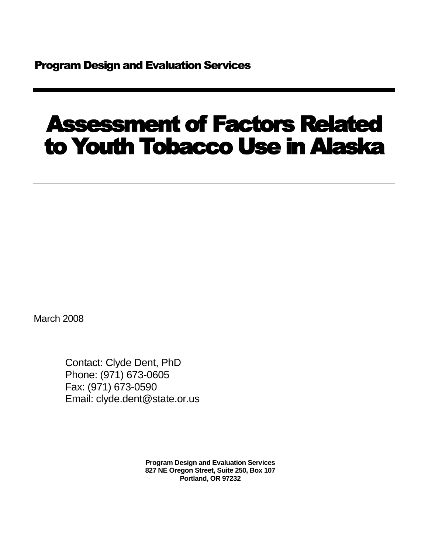# Assessment of Factors Related to Youth Tobacco Use in Alaska

March 2008

Contact: Clyde Dent, PhD Phone: (971) 673-0605 Fax: (971) 673-0590 Email: clyde.dent@state.or.us

> **Program Design and Evaluation Services 827 NE Oregon Street, Suite 250, Box 107 Portland, OR 97232**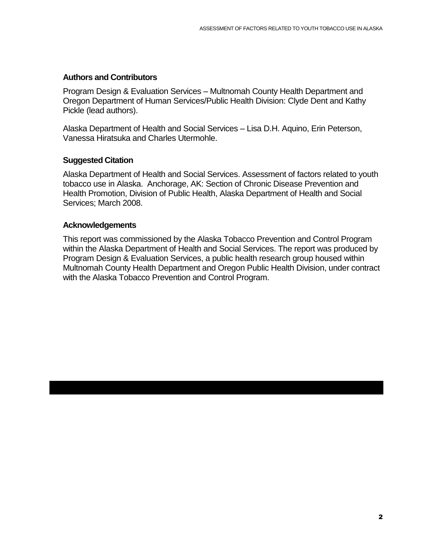#### **Authors and Contributors**

Program Design & Evaluation Services – Multnomah County Health Department and Oregon Department of Human Services/Public Health Division: Clyde Dent and Kathy Pickle (lead authors).

Alaska Department of Health and Social Services – Lisa D.H. Aquino, Erin Peterson, Vanessa Hiratsuka and Charles Utermohle.

#### **Suggested Citation**

Alaska Department of Health and Social Services. Assessment of factors related to youth tobacco use in Alaska. Anchorage, AK: Section of Chronic Disease Prevention and Health Promotion, Division of Public Health, Alaska Department of Health and Social Services; March 2008.

#### **Acknowledgements**

This report was commissioned by the Alaska Tobacco Prevention and Control Program within the Alaska Department of Health and Social Services. The report was produced by Program Design & Evaluation Services, a public health research group housed within Multnomah County Health Department and Oregon Public Health Division, under contract with the Alaska Tobacco Prevention and Control Program.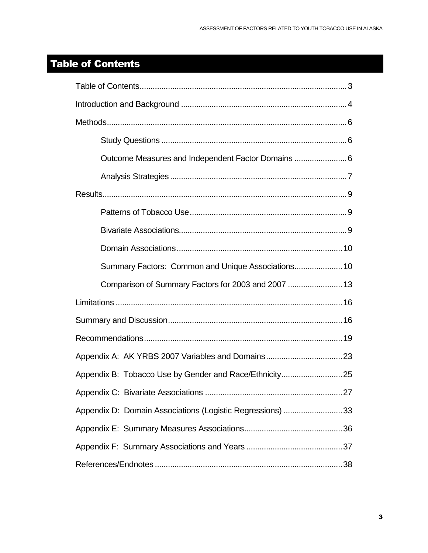### <span id="page-2-0"></span>Table of Contents

| Summary Factors: Common and Unique Associations 10        |
|-----------------------------------------------------------|
| Comparison of Summary Factors for 2003 and 2007  13       |
|                                                           |
|                                                           |
|                                                           |
|                                                           |
|                                                           |
|                                                           |
| Appendix D: Domain Associations (Logistic Regressions) 33 |
|                                                           |
|                                                           |
|                                                           |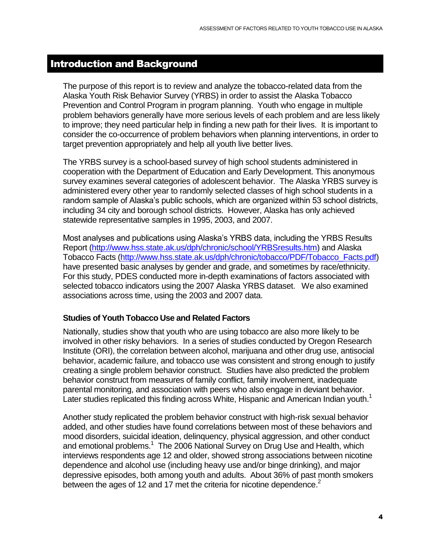#### <span id="page-3-0"></span>Introduction and Background

The purpose of this report is to review and analyze the tobacco-related data from the Alaska Youth Risk Behavior Survey (YRBS) in order to assist the Alaska Tobacco Prevention and Control Program in program planning. Youth who engage in multiple problem behaviors generally have more serious levels of each problem and are less likely to improve; they need particular help in finding a new path for their lives. It is important to consider the co-occurrence of problem behaviors when planning interventions, in order to target prevention appropriately and help all youth live better lives.

The YRBS survey is a school-based survey of high school students administered in cooperation with the Department of Education and Early Development. This anonymous survey examines several categories of adolescent behavior. The Alaska YRBS survey is administered every other year to randomly selected classes of high school students in a random sample of Alaska's public schools, which are organized within 53 school districts, including 34 city and borough school districts. However, Alaska has only achieved statewide representative samples in 1995, 2003, and 2007.

Most analyses and publications using Alaska's YRBS data, including the YRBS Results Report [\(http://www.hss.state.ak.us/dph/chronic/school/YRBSresults.htm\)](http://www.hss.state.ak.us/dph/chronic/school/YRBSresults.htm) and Alaska Tobacco Facts [\(http://www.hss.state.ak.us/dph/chronic/tobacco/PDF/Tobacco\\_Facts.pdf\)](http://www.hss.state.ak.us/dph/chronic/tobacco/PDF/Tobacco_Facts.pdf) have presented basic analyses by gender and grade, and sometimes by race/ethnicity. For this study, PDES conducted more in-depth examinations of factors associated with selected tobacco indicators using the 2007 Alaska YRBS dataset. We also examined associations across time, using the 2003 and 2007 data.

#### **Studies of Youth Tobacco Use and Related Factors**

Nationally, studies show that youth who are using tobacco are also more likely to be involved in other risky behaviors. In a series of studies conducted by Oregon Research Institute (ORI), the correlation between alcohol, marijuana and other drug use, antisocial behavior, academic failure, and tobacco use was consistent and strong enough to justify creating a single problem behavior construct. Studies have also predicted the problem behavior construct from measures of family conflict, family involvement, inadequate parental monitoring, and association with peers who also engage in deviant behavior. Later studies replicated this finding across White, Hispanic and American Indian youth.<sup>1</sup>

Another study replicated the problem behavior construct with high-risk sexual behavior added, and other studies have found correlations between most of these behaviors and mood disorders, suicidal ideation, delinquency, physical aggression, and other conduct and emotional problems.<sup>1</sup> The 2006 National Survey on Drug Use and Health, which interviews respondents age 12 and older, showed strong associations between nicotine dependence and alcohol use (including heavy use and/or binge drinking), and major depressive episodes, both among youth and adults. About 36% of past month smokers between the ages of 12 and 17 met the criteria for nicotine dependence. $2$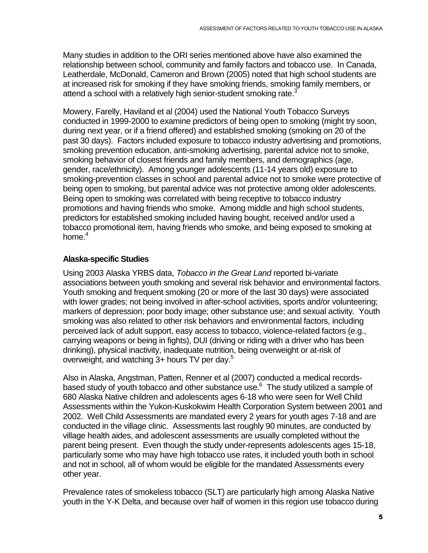Many studies in addition to the ORI series mentioned above have also examined the relationship between school, community and family factors and tobacco use. In Canada, Leatherdale, McDonald, Cameron and Brown (2005) noted that high school students are at increased risk for smoking if they have smoking friends, smoking family members, or attend a school with a relatively high senior-student smoking rate.<sup>3</sup>

Mowery, Farelly, Haviland et al (2004) used the National Youth Tobacco Surveys conducted in 1999-2000 to examine predictors of being open to smoking (might try soon, during next year, or if a friend offered) and established smoking (smoking on 20 of the past 30 days). Factors included exposure to tobacco industry advertising and promotions, smoking prevention education, anti-smoking advertising, parental advice not to smoke, smoking behavior of closest friends and family members, and demographics (age, gender, race/ethnicity). Among younger adolescents (11-14 years old) exposure to smoking-prevention classes in school and parental advice not to smoke were protective of being open to smoking, but parental advice was not protective among older adolescents. Being open to smoking was correlated with being receptive to tobacco industry promotions and having friends who smoke. Among middle and high school students, predictors for established smoking included having bought, received and/or used a tobacco promotional item, having friends who smoke, and being exposed to smoking at home. $^4$ 

#### **Alaska-specific Studies**

Using 2003 Alaska YRBS data, *Tobacco in the Great Land* reported bi-variate associations between youth smoking and several risk behavior and environmental factors. Youth smoking and frequent smoking (20 or more of the last 30 days) were associated with lower grades; not being involved in after-school activities, sports and/or volunteering; markers of depression; poor body image; other substance use; and sexual activity. Youth smoking was also related to other risk behaviors and environmental factors, including perceived lack of adult support, easy access to tobacco, violence-related factors (e.g., carrying weapons or being in fights), DUI (driving or riding with a driver who has been drinking), physical inactivity, inadequate nutrition, being overweight or at-risk of overweight, and watching  $3+$  hours TV per day.<sup>5</sup>

Also in Alaska, Angstman, Patten, Renner et al (2007) conducted a medical recordsbased study of youth tobacco and other substance use.<sup>6</sup> The study utilized a sample of 680 Alaska Native children and adolescents ages 6-18 who were seen for Well Child Assessments within the Yukon-Kuskokwim Health Corporation System between 2001 and 2002. Well Child Assessments are mandated every 2 years for youth ages 7-18 and are conducted in the village clinic. Assessments last roughly 90 minutes, are conducted by village health aides, and adolescent assessments are usually completed without the parent being present. Even though the study under-represents adolescents ages 15-18, particularly some who may have high tobacco use rates, it included youth both in school and not in school, all of whom would be eligible for the mandated Assessments every other year.

Prevalence rates of smokeless tobacco (SLT) are particularly high among Alaska Native youth in the Y-K Delta, and because over half of women in this region use tobacco during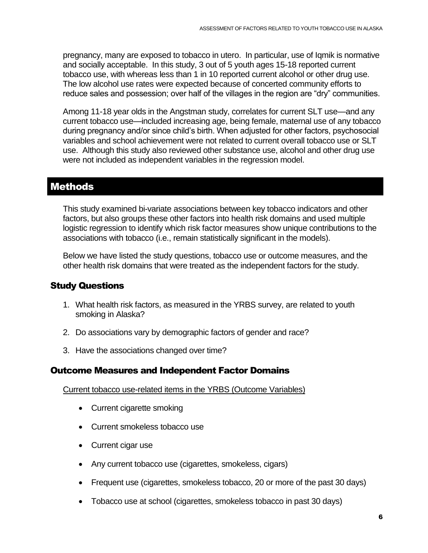pregnancy, many are exposed to tobacco in utero. In particular, use of Iqmik is normative and socially acceptable. In this study, 3 out of 5 youth ages 15-18 reported current tobacco use, with whereas less than 1 in 10 reported current alcohol or other drug use. The low alcohol use rates were expected because of concerted community efforts to reduce sales and possession; over half of the villages in the region are "dry" communities.

Among 11-18 year olds in the Angstman study, correlates for current SLT use—and any current tobacco use—included increasing age, being female, maternal use of any tobacco during pregnancy and/or since child's birth. When adjusted for other factors, psychosocial variables and school achievement were not related to current overall tobacco use or SLT use. Although this study also reviewed other substance use, alcohol and other drug use were not included as independent variables in the regression model.

#### <span id="page-5-0"></span>Methods

This study examined bi-variate associations between key tobacco indicators and other factors, but also groups these other factors into health risk domains and used multiple logistic regression to identify which risk factor measures show unique contributions to the associations with tobacco (i.e., remain statistically significant in the models).

Below we have listed the study questions, tobacco use or outcome measures, and the other health risk domains that were treated as the independent factors for the study.

#### <span id="page-5-1"></span>Study Questions

- 1. What health risk factors, as measured in the YRBS survey, are related to youth smoking in Alaska?
- 2. Do associations vary by demographic factors of gender and race?
- 3. Have the associations changed over time?

#### <span id="page-5-2"></span>Outcome Measures and Independent Factor Domains

Current tobacco use-related items in the YRBS (Outcome Variables)

- Current cigarette smoking
- Current smokeless tobacco use
- Current cigar use
- Any current tobacco use (cigarettes, smokeless, cigars)
- Frequent use (cigarettes, smokeless tobacco, 20 or more of the past 30 days)
- Tobacco use at school (cigarettes, smokeless tobacco in past 30 days)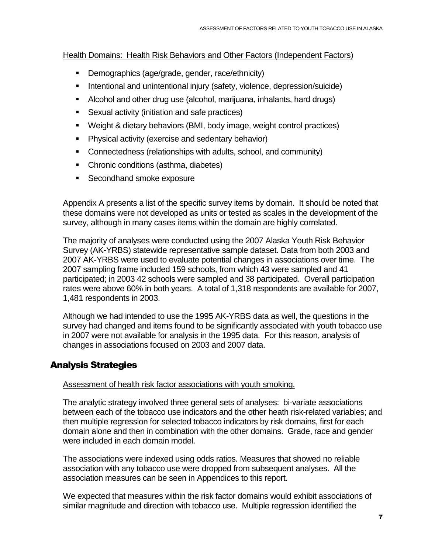Health Domains: Health Risk Behaviors and Other Factors (Independent Factors)

- **Demographics (age/grade, gender, race/ethnicity)**
- **Intentional and unintentional injury (safety, violence, depression/suicide)**
- Alcohol and other drug use (alcohol, marijuana, inhalants, hard drugs)
- Sexual activity (initiation and safe practices)
- Weight & dietary behaviors (BMI, body image, weight control practices)
- **Physical activity (exercise and sedentary behavior)**
- Connectedness (relationships with adults, school, and community)
- Chronic conditions (asthma, diabetes)
- **Secondhand smoke exposure**

Appendix A presents a list of the specific survey items by domain. It should be noted that these domains were not developed as units or tested as scales in the development of the survey, although in many cases items within the domain are highly correlated.

The majority of analyses were conducted using the 2007 Alaska Youth Risk Behavior Survey (AK-YRBS) statewide representative sample dataset. Data from both 2003 and 2007 AK-YRBS were used to evaluate potential changes in associations over time. The 2007 sampling frame included 159 schools, from which 43 were sampled and 41 participated; in 2003 42 schools were sampled and 38 participated. Overall participation rates were above 60% in both years. A total of 1,318 respondents are available for 2007, 1,481 respondents in 2003.

Although we had intended to use the 1995 AK-YRBS data as well, the questions in the survey had changed and items found to be significantly associated with youth tobacco use in 2007 were not available for analysis in the 1995 data. For this reason, analysis of changes in associations focused on 2003 and 2007 data.

### <span id="page-6-0"></span>Analysis Strategies

#### Assessment of health risk factor associations with youth smoking.

The analytic strategy involved three general sets of analyses: bi-variate associations between each of the tobacco use indicators and the other heath risk-related variables; and then multiple regression for selected tobacco indicators by risk domains, first for each domain alone and then in combination with the other domains. Grade, race and gender were included in each domain model.

The associations were indexed using odds ratios. Measures that showed no reliable association with any tobacco use were dropped from subsequent analyses. All the association measures can be seen in Appendices to this report.

We expected that measures within the risk factor domains would exhibit associations of similar magnitude and direction with tobacco use. Multiple regression identified the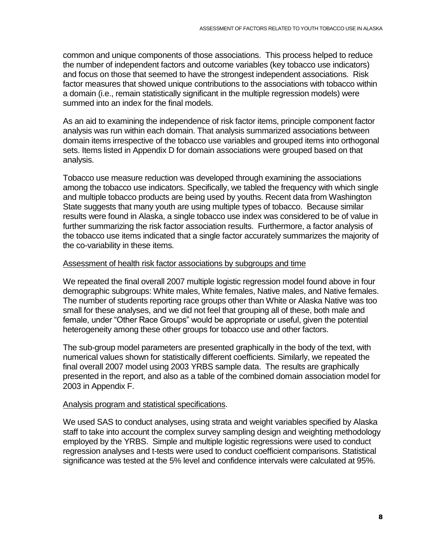common and unique components of those associations. This process helped to reduce the number of independent factors and outcome variables (key tobacco use indicators) and focus on those that seemed to have the strongest independent associations. Risk factor measures that showed unique contributions to the associations with tobacco within a domain (i.e., remain statistically significant in the multiple regression models) were summed into an index for the final models.

As an aid to examining the independence of risk factor items, principle component factor analysis was run within each domain. That analysis summarized associations between domain items irrespective of the tobacco use variables and grouped items into orthogonal sets. Items listed in Appendix D for domain associations were grouped based on that analysis.

Tobacco use measure reduction was developed through examining the associations among the tobacco use indicators. Specifically, we tabled the frequency with which single and multiple tobacco products are being used by youths. Recent data from Washington State suggests that many youth are using multiple types of tobacco. Because similar results were found in Alaska, a single tobacco use index was considered to be of value in further summarizing the risk factor association results. Furthermore, a factor analysis of the tobacco use items indicated that a single factor accurately summarizes the majority of the co-variability in these items.

#### Assessment of health risk factor associations by subgroups and time

We repeated the final overall 2007 multiple logistic regression model found above in four demographic subgroups: White males, White females, Native males, and Native females. The number of students reporting race groups other than White or Alaska Native was too small for these analyses, and we did not feel that grouping all of these, both male and female, under "Other Race Groups" would be appropriate or useful, given the potential heterogeneity among these other groups for tobacco use and other factors.

The sub-group model parameters are presented graphically in the body of the text, with numerical values shown for statistically different coefficients. Similarly, we repeated the final overall 2007 model using 2003 YRBS sample data. The results are graphically presented in the report, and also as a table of the combined domain association model for 2003 in Appendix F.

#### Analysis program and statistical specifications.

We used SAS to conduct analyses, using strata and weight variables specified by Alaska staff to take into account the complex survey sampling design and weighting methodology employed by the YRBS. Simple and multiple logistic regressions were used to conduct regression analyses and t-tests were used to conduct coefficient comparisons. Statistical significance was tested at the 5% level and confidence intervals were calculated at 95%.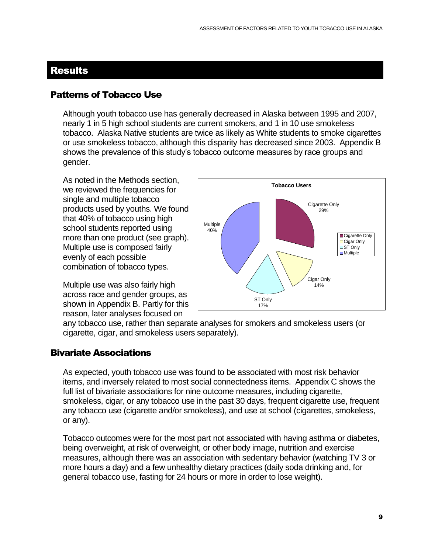#### <span id="page-8-0"></span>Results

#### <span id="page-8-1"></span>Patterns of Tobacco Use

Although youth tobacco use has generally decreased in Alaska between 1995 and 2007, nearly 1 in 5 high school students are current smokers, and 1 in 10 use smokeless tobacco. Alaska Native students are twice as likely as White students to smoke cigarettes or use smokeless tobacco, although this disparity has decreased since 2003. Appendix B shows the prevalence of this study's tobacco outcome measures by race groups and gender.

As noted in the Methods section, we reviewed the frequencies for single and multiple tobacco products used by youths. We found that 40% of tobacco using high school students reported using more than one product (see graph). Multiple use is composed fairly evenly of each possible combination of tobacco types.

Multiple use was also fairly high across race and gender groups, as shown in Appendix B. Partly for this reason, later analyses focused on



any tobacco use, rather than separate analyses for smokers and smokeless users (or cigarette, cigar, and smokeless users separately).

#### <span id="page-8-2"></span>Bivariate Associations

As expected, youth tobacco use was found to be associated with most risk behavior items, and inversely related to most social connectedness items. Appendix C shows the full list of bivariate associations for nine outcome measures, including cigarette, smokeless, cigar, or any tobacco use in the past 30 days, frequent cigarette use, frequent any tobacco use (cigarette and/or smokeless), and use at school (cigarettes, smokeless, or any).

Tobacco outcomes were for the most part not associated with having asthma or diabetes, being overweight, at risk of overweight, or other body image, nutrition and exercise measures, although there was an association with sedentary behavior (watching TV 3 or more hours a day) and a few unhealthy dietary practices (daily soda drinking and, for general tobacco use, fasting for 24 hours or more in order to lose weight).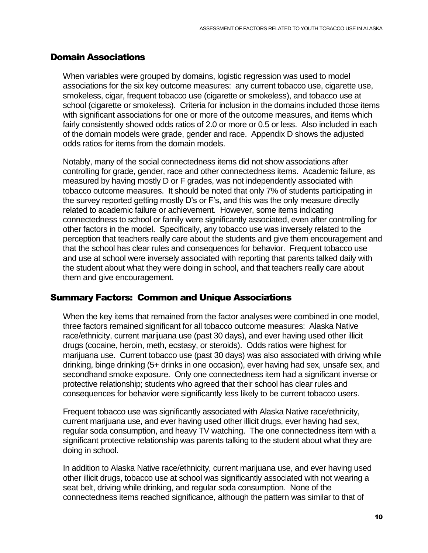#### <span id="page-9-0"></span>Domain Associations

When variables were grouped by domains, logistic regression was used to model associations for the six key outcome measures: any current tobacco use, cigarette use, smokeless, cigar, frequent tobacco use (cigarette or smokeless), and tobacco use at school (cigarette or smokeless). Criteria for inclusion in the domains included those items with significant associations for one or more of the outcome measures, and items which fairly consistently showed odds ratios of 2.0 or more or 0.5 or less. Also included in each of the domain models were grade, gender and race. Appendix D shows the adjusted odds ratios for items from the domain models.

Notably, many of the social connectedness items did not show associations after controlling for grade, gender, race and other connectedness items. Academic failure, as measured by having mostly D or F grades, was not independently associated with tobacco outcome measures. It should be noted that only 7% of students participating in the survey reported getting mostly D's or F's, and this was the only measure directly related to academic failure or achievement. However, some items indicating connectedness to school or family were significantly associated, even after controlling for other factors in the model. Specifically, any tobacco use was inversely related to the perception that teachers really care about the students and give them encouragement and that the school has clear rules and consequences for behavior. Frequent tobacco use and use at school were inversely associated with reporting that parents talked daily with the student about what they were doing in school, and that teachers really care about them and give encouragement.

#### <span id="page-9-1"></span>Summary Factors: Common and Unique Associations

When the key items that remained from the factor analyses were combined in one model, three factors remained significant for all tobacco outcome measures: Alaska Native race/ethnicity, current marijuana use (past 30 days), and ever having used other illicit drugs (cocaine, heroin, meth, ecstasy, or steroids). Odds ratios were highest for marijuana use. Current tobacco use (past 30 days) was also associated with driving while drinking, binge drinking (5+ drinks in one occasion), ever having had sex, unsafe sex, and secondhand smoke exposure. Only one connectedness item had a significant inverse or protective relationship; students who agreed that their school has clear rules and consequences for behavior were significantly less likely to be current tobacco users.

Frequent tobacco use was significantly associated with Alaska Native race/ethnicity, current marijuana use, and ever having used other illicit drugs, ever having had sex, regular soda consumption, and heavy TV watching. The one connectedness item with a significant protective relationship was parents talking to the student about what they are doing in school.

In addition to Alaska Native race/ethnicity, current marijuana use, and ever having used other illicit drugs, tobacco use at school was significantly associated with not wearing a seat belt, driving while drinking, and regular soda consumption. None of the connectedness items reached significance, although the pattern was similar to that of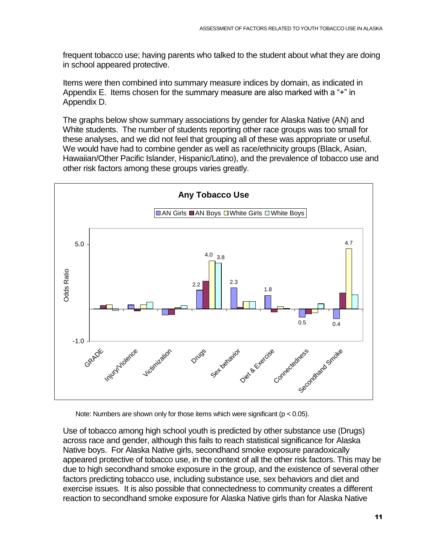frequent tobacco use; having parents who talked to the student about what they are doing in school appeared protective.

Items were then combined into summary measure indices by domain, as indicated in Appendix E. Items chosen for the summary measure are also marked with a "+" in Appendix D.

The graphs below show summary associations by gender for Alaska Native (AN) and White students. The number of students reporting other race groups was too small for these analyses, and we did not feel that grouping all of these was appropriate or useful. We would have had to combine gender as well as race/ethnicity groups (Black, Asian, Hawaiian/Other Pacific Islander, Hispanic/Latino), and the prevalence of tobacco use and other risk factors among these groups varies greatly.



Note: Numbers are shown only for those items which were significant (p < 0.05).

Use of tobacco among high school youth is predicted by other substance use (Drugs) across race and gender, although this fails to reach statistical significance for Alaska Native boys. For Alaska Native girls, secondhand smoke exposure paradoxically appeared protective of tobacco use, in the context of all the other risk factors. This may be due to high secondhand smoke exposure in the group, and the existence of several other factors predicting tobacco use, including substance use, sex behaviors and diet and exercise issues. It is also possible that connectedness to community creates a different reaction to secondhand smoke exposure for Alaska Native girls than for Alaska Native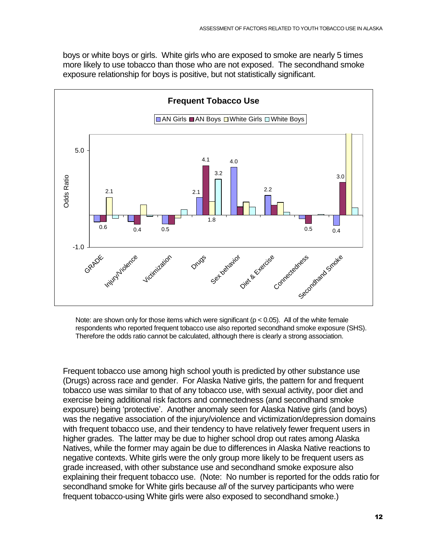boys or white boys or girls. White girls who are exposed to smoke are nearly 5 times more likely to use tobacco than those who are not exposed. The secondhand smoke exposure relationship for boys is positive, but not statistically significant.



Note: are shown only for those items which were significant ( $p < 0.05$ ). All of the white female respondents who reported frequent tobacco use also reported secondhand smoke exposure (SHS). Therefore the odds ratio cannot be calculated, although there is clearly a strong association.

Frequent tobacco use among high school youth is predicted by other substance use (Drugs) across race and gender. For Alaska Native girls, the pattern for and frequent tobacco use was similar to that of any tobacco use, with sexual activity, poor diet and exercise being additional risk factors and connectedness (and secondhand smoke exposure) being 'protective'. Another anomaly seen for Alaska Native girls (and boys) was the negative association of the injury/violence and victimization/depression domains with frequent tobacco use, and their tendency to have relatively fewer frequent users in higher grades. The latter may be due to higher school drop out rates among Alaska Natives, while the former may again be due to differences in Alaska Native reactions to negative contexts. White girls were the only group more likely to be frequent users as grade increased, with other substance use and secondhand smoke exposure also explaining their frequent tobacco use. (Note: No number is reported for the odds ratio for secondhand smoke for White girls because *all* of the survey participants who were frequent tobacco-using White girls were also exposed to secondhand smoke.)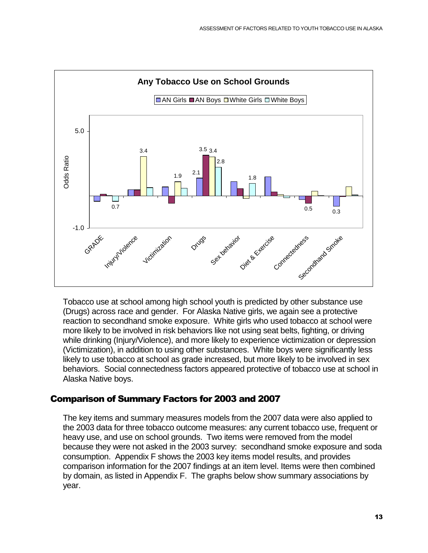

Tobacco use at school among high school youth is predicted by other substance use (Drugs) across race and gender. For Alaska Native girls, we again see a protective reaction to secondhand smoke exposure. White girls who used tobacco at school were more likely to be involved in risk behaviors like not using seat belts, fighting, or driving while drinking (Injury/Violence), and more likely to experience victimization or depression (Victimization), in addition to using other substances. White boys were significantly less likely to use tobacco at school as grade increased, but more likely to be involved in sex behaviors. Social connectedness factors appeared protective of tobacco use at school in Alaska Native boys.

#### <span id="page-12-0"></span>Comparison of Summary Factors for 2003 and 2007

The key items and summary measures models from the 2007 data were also applied to the 2003 data for three tobacco outcome measures: any current tobacco use, frequent or heavy use, and use on school grounds. Two items were removed from the model because they were not asked in the 2003 survey: secondhand smoke exposure and soda consumption. Appendix F shows the 2003 key items model results, and provides comparison information for the 2007 findings at an item level. Items were then combined by domain, as listed in Appendix F. The graphs below show summary associations by year.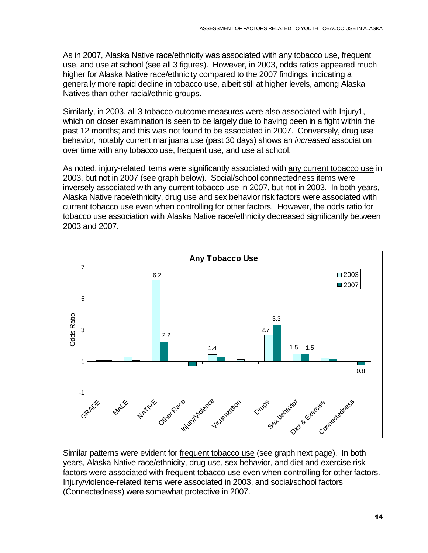As in 2007, Alaska Native race/ethnicity was associated with any tobacco use, frequent use, and use at school (see all 3 figures). However, in 2003, odds ratios appeared much higher for Alaska Native race/ethnicity compared to the 2007 findings, indicating a generally more rapid decline in tobacco use, albeit still at higher levels, among Alaska Natives than other racial/ethnic groups.

Similarly, in 2003, all 3 tobacco outcome measures were also associated with Injury1, which on closer examination is seen to be largely due to having been in a fight within the past 12 months; and this was not found to be associated in 2007. Conversely, drug use behavior, notably current marijuana use (past 30 days) shows an *increased* association over time with any tobacco use, frequent use, and use at school.

As noted, injury-related items were significantly associated with any current tobacco use in 2003, but not in 2007 (see graph below). Social/school connectedness items were inversely associated with any current tobacco use in 2007, but not in 2003. In both years, Alaska Native race/ethnicity, drug use and sex behavior risk factors were associated with current tobacco use even when controlling for other factors. However, the odds ratio for tobacco use association with Alaska Native race/ethnicity decreased significantly between 2003 and 2007.



Similar patterns were evident for frequent tobacco use (see graph next page). In both years, Alaska Native race/ethnicity, drug use, sex behavior, and diet and exercise risk factors were associated with frequent tobacco use even when controlling for other factors. Injury/violence-related items were associated in 2003, and social/school factors (Connectedness) were somewhat protective in 2007.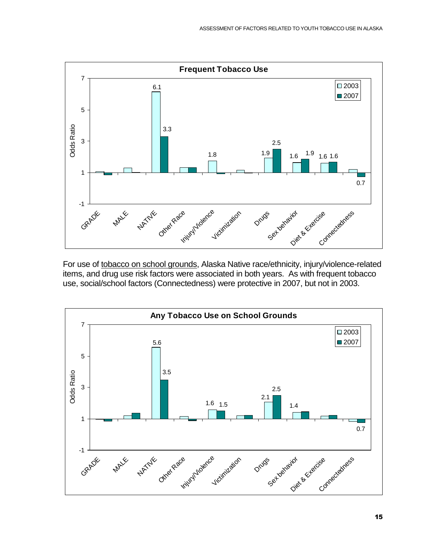

For use of tobacco on school grounds, Alaska Native race/ethnicity, injury/violence-related items, and drug use risk factors were associated in both years. As with frequent tobacco use, social/school factors (Connectedness) were protective in 2007, but not in 2003.

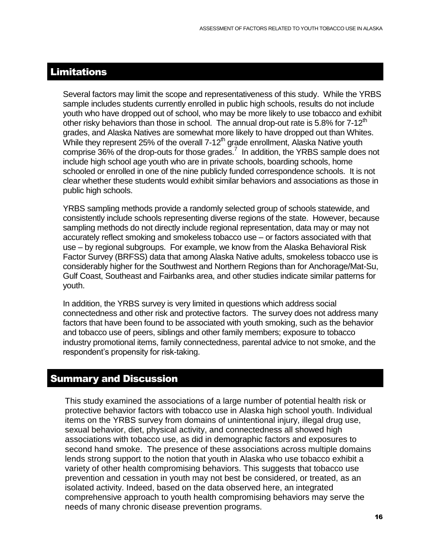#### <span id="page-15-0"></span>Limitations

Several factors may limit the scope and representativeness of this study. While the YRBS sample includes students currently enrolled in public high schools, results do not include youth who have dropped out of school, who may be more likely to use tobacco and exhibit other risky behaviors than those in school. The annual drop-out rate is 5.8% for  $7\text{-}12^{\text{th}}$ grades, and Alaska Natives are somewhat more likely to have dropped out than Whites. While they represent 25% of the overall  $7-12<sup>th</sup>$  grade enrollment, Alaska Native youth comprise 36% of the drop-outs for those grades.<sup>7</sup> In addition, the YRBS sample does not include high school age youth who are in private schools, boarding schools, home schooled or enrolled in one of the nine publicly funded correspondence schools. It is not clear whether these students would exhibit similar behaviors and associations as those in public high schools.

YRBS sampling methods provide a randomly selected group of schools statewide, and consistently include schools representing diverse regions of the state. However, because sampling methods do not directly include regional representation, data may or may not accurately reflect smoking and smokeless tobacco use – or factors associated with that use – by regional subgroups. For example, we know from the Alaska Behavioral Risk Factor Survey (BRFSS) data that among Alaska Native adults, smokeless tobacco use is considerably higher for the Southwest and Northern Regions than for Anchorage/Mat-Su, Gulf Coast, Southeast and Fairbanks area, and other studies indicate similar patterns for youth.

In addition, the YRBS survey is very limited in questions which address social connectedness and other risk and protective factors. The survey does not address many factors that have been found to be associated with youth smoking, such as the behavior and tobacco use of peers, siblings and other family members; exposure to tobacco industry promotional items, family connectedness, parental advice to not smoke, and the respondent's propensity for risk-taking.

#### <span id="page-15-1"></span>Summary and Discussion

This study examined the associations of a large number of potential health risk or protective behavior factors with tobacco use in Alaska high school youth. Individual items on the YRBS survey from domains of unintentional injury, illegal drug use, sexual behavior, diet, physical activity, and connectedness all showed high associations with tobacco use, as did in demographic factors and exposures to second hand smoke. The presence of these associations across multiple domains lends strong support to the notion that youth in Alaska who use tobacco exhibit a variety of other health compromising behaviors. This suggests that tobacco use prevention and cessation in youth may not best be considered, or treated, as an isolated activity. Indeed, based on the data observed here, an integrated comprehensive approach to youth health compromising behaviors may serve the needs of many chronic disease prevention programs.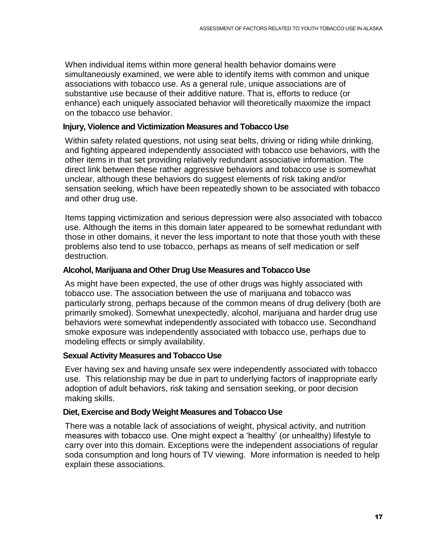When individual items within more general health behavior domains were simultaneously examined, we were able to identify items with common and unique associations with tobacco use. As a general rule, unique associations are of substantive use because of their additive nature. That is, efforts to reduce (or enhance) each uniquely associated behavior will theoretically maximize the impact on the tobacco use behavior.

#### **Injury, Violence and Victimization Measures and Tobacco Use**

Within safety related questions, not using seat belts, driving or riding while drinking, and fighting appeared independently associated with tobacco use behaviors, with the other items in that set providing relatively redundant associative information. The direct link between these rather aggressive behaviors and tobacco use is somewhat unclear, although these behaviors do suggest elements of risk taking and/or sensation seeking, which have been repeatedly shown to be associated with tobacco and other drug use.

Items tapping victimization and serious depression were also associated with tobacco use. Although the items in this domain later appeared to be somewhat redundant with those in other domains, it never the less important to note that those youth with these problems also tend to use tobacco, perhaps as means of self medication or self destruction.

#### **Alcohol, Marijuana and Other Drug Use Measures and Tobacco Use**

As might have been expected, the use of other drugs was highly associated with tobacco use. The association between the use of marijuana and tobacco was particularly strong, perhaps because of the common means of drug delivery (both are primarily smoked). Somewhat unexpectedly, alcohol, marijuana and harder drug use behaviors were somewhat independently associated with tobacco use. Secondhand smoke exposure was independently associated with tobacco use, perhaps due to modeling effects or simply availability.

#### **Sexual Activity Measures and Tobacco Use**

Ever having sex and having unsafe sex were independently associated with tobacco use. This relationship may be due in part to underlying factors of inappropriate early adoption of adult behaviors, risk taking and sensation seeking, or poor decision making skills.

#### **Diet, Exercise and Body Weight Measures and Tobacco Use**

There was a notable lack of associations of weight, physical activity, and nutrition measures with tobacco use. One might expect a 'healthy' (or unhealthy) lifestyle to carry over into this domain. Exceptions were the independent associations of regular soda consumption and long hours of TV viewing. More information is needed to help explain these associations.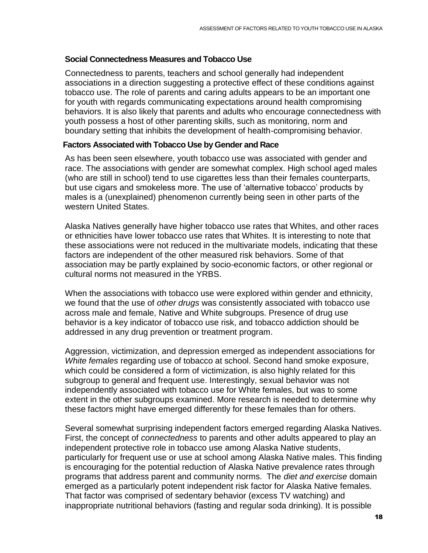#### **Social Connectedness Measures and Tobacco Use**

Connectedness to parents, teachers and school generally had independent associations in a direction suggesting a protective effect of these conditions against tobacco use. The role of parents and caring adults appears to be an important one for youth with regards communicating expectations around health compromising behaviors. It is also likely that parents and adults who encourage connectedness with youth possess a host of other parenting skills, such as monitoring, norm and boundary setting that inhibits the development of health-compromising behavior.

#### **Factors Associated with Tobacco Use by Gender and Race**

As has been seen elsewhere, youth tobacco use was associated with gender and race. The associations with gender are somewhat complex. High school aged males (who are still in school) tend to use cigarettes less than their females counterparts, but use cigars and smokeless more. The use of 'alternative tobacco' products by males is a (unexplained) phenomenon currently being seen in other parts of the western United States.

Alaska Natives generally have higher tobacco use rates that Whites, and other races or ethnicities have lower tobacco use rates that Whites. It is interesting to note that these associations were not reduced in the multivariate models, indicating that these factors are independent of the other measured risk behaviors. Some of that association may be partly explained by socio-economic factors, or other regional or cultural norms not measured in the YRBS.

When the associations with tobacco use were explored within gender and ethnicity, we found that the use of *other drugs* was consistently associated with tobacco use across male and female, Native and White subgroups. Presence of drug use behavior is a key indicator of tobacco use risk, and tobacco addiction should be addressed in any drug prevention or treatment program.

Aggression, victimization, and depression emerged as independent associations for *White females* regarding use of tobacco at school. Second hand smoke exposure, which could be considered a form of victimization, is also highly related for this subgroup to general and frequent use. Interestingly, sexual behavior was not independently associated with tobacco use for White females, but was to some extent in the other subgroups examined. More research is needed to determine why these factors might have emerged differently for these females than for others.

Several somewhat surprising independent factors emerged regarding Alaska Natives. First, the concept of *connectedness* to parents and other adults appeared to play an independent protective role in tobacco use among Alaska Native students, particularly for frequent use or use at school among Alaska Native males. This finding is encouraging for the potential reduction of Alaska Native prevalence rates through programs that address parent and community norms. The *diet and exercise* domain emerged as a particularly potent independent risk factor for Alaska Native females. That factor was comprised of sedentary behavior (excess TV watching) and inappropriate nutritional behaviors (fasting and regular soda drinking). It is possible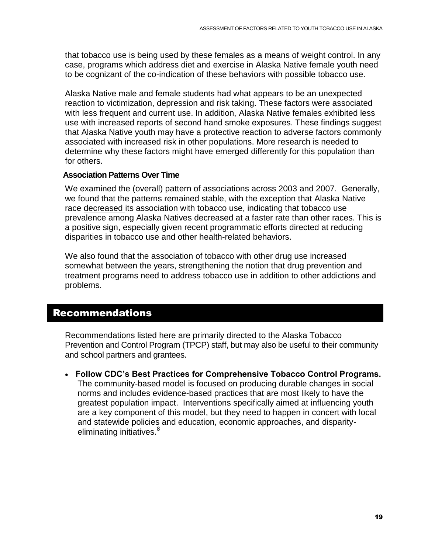that tobacco use is being used by these females as a means of weight control. In any case, programs which address diet and exercise in Alaska Native female youth need to be cognizant of the co-indication of these behaviors with possible tobacco use.

Alaska Native male and female students had what appears to be an unexpected reaction to victimization, depression and risk taking. These factors were associated with less frequent and current use. In addition, Alaska Native females exhibited less use with increased reports of second hand smoke exposures. These findings suggest that Alaska Native youth may have a protective reaction to adverse factors commonly associated with increased risk in other populations. More research is needed to determine why these factors might have emerged differently for this population than for others.

#### **Association Patterns Over Time**

We examined the (overall) pattern of associations across 2003 and 2007. Generally, we found that the patterns remained stable, with the exception that Alaska Native race decreased its association with tobacco use, indicating that tobacco use prevalence among Alaska Natives decreased at a faster rate than other races. This is a positive sign, especially given recent programmatic efforts directed at reducing disparities in tobacco use and other health-related behaviors.

We also found that the association of tobacco with other drug use increased somewhat between the years, strengthening the notion that drug prevention and treatment programs need to address tobacco use in addition to other addictions and problems.

#### <span id="page-18-0"></span>Recommendations

Recommendations listed here are primarily directed to the Alaska Tobacco Prevention and Control Program (TPCP) staff, but may also be useful to their community and school partners and grantees.

 **Follow CDC's Best Practices for Comprehensive Tobacco Control Programs.** The community-based model is focused on producing durable changes in social norms and includes evidence-based practices that are most likely to have the greatest population impact. Interventions specifically aimed at influencing youth are a key component of this model, but they need to happen in concert with local and statewide policies and education, economic approaches, and disparityeliminating initiatives.<sup>8</sup>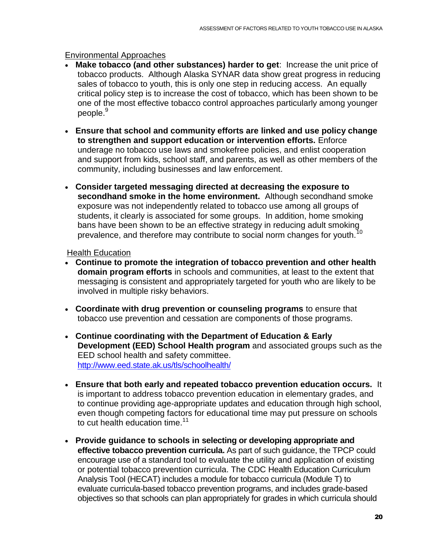#### Environmental Approaches

- **Make tobacco (and other substances) harder to get**: Increase the unit price of tobacco products. Although Alaska SYNAR data show great progress in reducing sales of tobacco to youth, this is only one step in reducing access. An equally critical policy step is to increase the cost of tobacco, which has been shown to be one of the most effective tobacco control approaches particularly among younger people.<sup>9</sup>
- **Ensure that school and community efforts are linked and use policy change to strengthen and support education or intervention efforts.** Enforce underage no tobacco use laws and smokefree policies, and enlist cooperation and support from kids, school staff, and parents, as well as other members of the community, including businesses and law enforcement.
- **Consider targeted messaging directed at decreasing the exposure to secondhand smoke in the home environment.** Although secondhand smoke exposure was not independently related to tobacco use among all groups of students, it clearly is associated for some groups. In addition, home smoking bans have been shown to be an effective strategy in reducing adult smoking prevalence, and therefore may contribute to social norm changes for youth.<sup>10</sup>

Health Education

- **Continue to promote the integration of tobacco prevention and other health domain program efforts** in schools and communities, at least to the extent that messaging is consistent and appropriately targeted for youth who are likely to be involved in multiple risky behaviors.
- **Coordinate with drug prevention or counseling programs** to ensure that tobacco use prevention and cessation are components of those programs.
- **Continue coordinating with the Department of Education & Early Development (EED) School Health program** and associated groups such as the EED school health and safety committee. <http://www.eed.state.ak.us/tls/schoolhealth/>
- **Ensure that both early and repeated tobacco prevention education occurs.** It is important to address tobacco prevention education in elementary grades, and to continue providing age-appropriate updates and education through high school, even though competing factors for educational time may put pressure on schools to cut health education time. $11$
- **Provide guidance to schools in selecting or developing appropriate and effective tobacco prevention curricula.** As part of such guidance, the TPCP could encourage use of a standard tool to evaluate the utility and application of existing or potential tobacco prevention curricula. The CDC Health Education Curriculum Analysis Tool (HECAT) includes a module for tobacco curricula (Module T) to evaluate curricula-based tobacco prevention programs, and includes grade-based objectives so that schools can plan appropriately for grades in which curricula should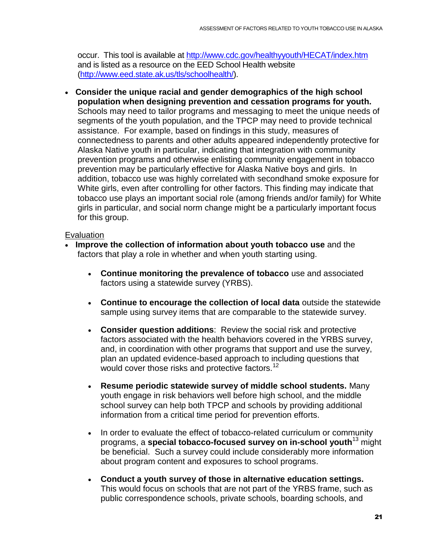occur. This tool is available at<http://www.cdc.gov/healthyyouth/HECAT/index.htm> and is listed as a resource on the EED School Health website [\(http://www.eed.state.ak.us/tls/schoolhealth/\)](http://www.eed.state.ak.us/tls/schoolhealth/).

 **Consider the unique racial and gender demographics of the high school population when designing prevention and cessation programs for youth.** Schools may need to tailor programs and messaging to meet the unique needs of segments of the youth population, and the TPCP may need to provide technical assistance. For example, based on findings in this study, measures of connectedness to parents and other adults appeared independently protective for Alaska Native youth in particular, indicating that integration with community prevention programs and otherwise enlisting community engagement in tobacco prevention may be particularly effective for Alaska Native boys and girls. In addition, tobacco use was highly correlated with secondhand smoke exposure for White girls, even after controlling for other factors. This finding may indicate that tobacco use plays an important social role (among friends and/or family) for White girls in particular, and social norm change might be a particularly important focus for this group.

#### Evaluation

- **Improve the collection of information about youth tobacco use** and the factors that play a role in whether and when youth starting using.
	- **Continue monitoring the prevalence of tobacco** use and associated factors using a statewide survey (YRBS).
	- **Continue to encourage the collection of local data** outside the statewide sample using survey items that are comparable to the statewide survey.
	- **Consider question additions**: Review the social risk and protective factors associated with the health behaviors covered in the YRBS survey, and, in coordination with other programs that support and use the survey, plan an updated evidence-based approach to including questions that would cover those risks and protective factors.<sup>12</sup>
	- **Resume periodic statewide survey of middle school students.** Many youth engage in risk behaviors well before high school, and the middle school survey can help both TPCP and schools by providing additional information from a critical time period for prevention efforts.
	- In order to evaluate the effect of tobacco-related curriculum or community programs, a **special tobacco-focused survey on in-school youth**<sup>13</sup> might be beneficial. Such a survey could include considerably more information about program content and exposures to school programs.
	- **Conduct a youth survey of those in alternative education settings.**  This would focus on schools that are not part of the YRBS frame, such as public correspondence schools, private schools, boarding schools, and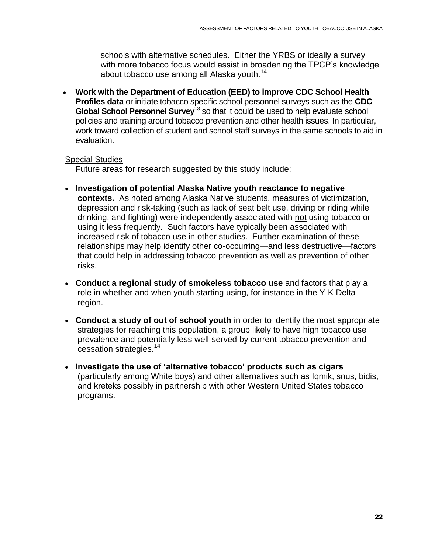schools with alternative schedules. Either the YRBS or ideally a survey with more tobacco focus would assist in broadening the TPCP's knowledge about tobacco use among all Alaska youth. $^{14}$ 

 **Work with the Department of Education (EED) to improve CDC School Health Profiles data** or initiate tobacco specific school personnel surveys such as the **CDC Global School Personnel Survey**<sup>13</sup> so that it could be used to help evaluate school policies and training around tobacco prevention and other health issues. In particular, work toward collection of student and school staff surveys in the same schools to aid in evaluation.

#### Special Studies

Future areas for research suggested by this study include:

- **Investigation of potential Alaska Native youth reactance to negative contexts.** As noted among Alaska Native students, measures of victimization, depression and risk-taking (such as lack of seat belt use, driving or riding while drinking, and fighting) were independently associated with not using tobacco or using it less frequently. Such factors have typically been associated with increased risk of tobacco use in other studies. Further examination of these relationships may help identify other co-occurring—and less destructive—factors that could help in addressing tobacco prevention as well as prevention of other risks.
- **Conduct a regional study of smokeless tobacco use** and factors that play a role in whether and when youth starting using, for instance in the Y-K Delta region.
- **Conduct a study of out of school youth** in order to identify the most appropriate strategies for reaching this population, a group likely to have high tobacco use prevalence and potentially less well-served by current tobacco prevention and cessation strategies.<sup>14</sup>
- **Investigate the use of 'alternative tobacco' products such as cigars** (particularly among White boys) and other alternatives such as Iqmik, snus, bidis, and kreteks possibly in partnership with other Western United States tobacco programs.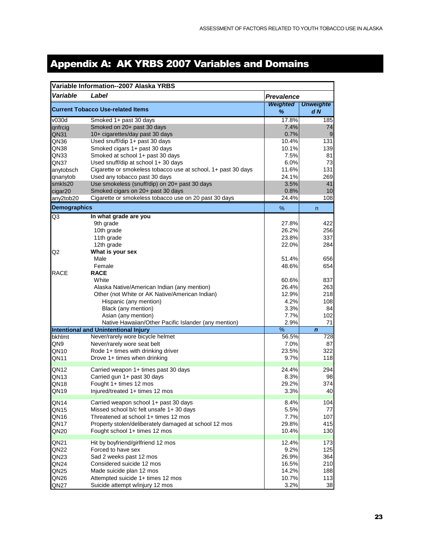### <span id="page-22-0"></span>Appendix A: AK YRBS 2007 Variables and Domains

|                     | Variable Information--2007 Alaska YRBS                        |                   |                  |
|---------------------|---------------------------------------------------------------|-------------------|------------------|
| Variable            | Label                                                         | <b>Prevalence</b> |                  |
|                     |                                                               | <b>Weighted</b>   | <b>Unweighte</b> |
|                     | <b>Current Tobacco Use-related Items</b>                      | ℅                 | dN               |
| v030d               | Smoked 1+ past 30 days                                        | 17.8%             | 185              |
| qnfrcig             | Smoked on 20+ past 30 days                                    | 7.4%              | 74               |
| QN31                | 10+ cigarettes/day past 30 days                               | 0.7%              | 9                |
| QN36                | Used snuff/dip 1+ past 30 days                                | 10.4%             | 131              |
| QN38                | Smoked cigars 1+ past 30 days                                 | 10.1%             | 139              |
| QN33                | Smoked at school 1+ past 30 days                              | 7.5%              | 81               |
| QN37                | Used snuff/dip at school 1+30 days                            | 6.0%              | 73               |
| anytobsch           | Cigarette or smokeless tobacco use at school, 1+ past 30 days | 11.6%             | 131              |
| qnanytob            | Used any tobacco past 30 days                                 | 24.1%             | 269              |
| smkls20             | Use smokeless (snuff/dip) on 20+ past 30 days                 | 3.5%              | 41               |
| cigar20             | Smoked cigars on 20+ past 30 days                             | 0.8%              | 10               |
| any2tob20           | Cigarette or smokeless tobacco use on 20 past 30 days         | 24.4%             | 108              |
| <b>Demographics</b> |                                                               | %                 | n                |
| Q3                  | In what grade are you                                         |                   |                  |
|                     | 9th grade                                                     | 27.8%             | 422              |
|                     | 10th grade                                                    | 26.2%             | 256              |
|                     | 11th grade                                                    | 23.8%             | 337              |
|                     | 12th grade                                                    | 22.0%             | 284              |
| Q2                  | What is your sex                                              |                   |                  |
|                     | Male                                                          | 51.4%             | 656              |
|                     | Female                                                        | 48.6%             | 654              |
| <b>RACE</b>         | <b>RACE</b>                                                   |                   |                  |
|                     | White                                                         | 60.6%             | 837              |
|                     | Alaska Native/American Indian (any mention)                   | 26.4%             | 263              |
|                     | Other (not White or AK Native/American Indian)                | 12.9%             | 218              |
|                     | Hispanic (any mention)                                        | 4.2%              | 108              |
|                     | Black (any mention)                                           | 3.3%              | 84               |
|                     | Asian (any mention)                                           | 7.7%              | 102              |
|                     | Native Hawaiian/Other Pacific Islander (any mention)          | 2.9%              | 71               |
|                     | <b>Intentional and Unintentional Injury</b>                   | $\frac{9}{6}$     | $\boldsymbol{n}$ |
| bkhlmt              | Never/rarely wore bicycle helmet                              | 56.5%             | 728              |
| QN9                 | Never/rarely wore seat belt                                   | 7.0%              | 87               |
| QN10                | Rode 1+ times with drinking driver                            | 23.5%             | 322              |
| QN11                | Drove 1+ times when drinking                                  | 9.7%              | 118              |
| QN <sub>12</sub>    | Carried weapon 1+ times past 30 days                          | 24.4%             | 294              |
| QN <sub>13</sub>    | Carried gun 1+ past 30 days                                   | 8.3%              | 98               |
| QN18                | Fought 1+ times 12 mos                                        | 29.2%             | 374              |
| QN <sub>19</sub>    | Injured/treated 1+ times 12 mos                               | 3.3%              | 40               |
| QN <sub>14</sub>    | Carried weapon school 1+ past 30 days                         | 8.4%              | 104              |
| QN15                | Missed school b/c felt unsafe 1+30 days                       | 5.5%              | 77               |
| QN16                | Threatened at school 1+ times 12 mos                          | 7.7%              | 107              |
| QN17                | Property stolen/deliberately damaged at school 12 mos         | 29.8%             | 415              |
| QN20                | Fought school 1+ times 12 mos                                 | 10.4%             | 130              |
|                     |                                                               |                   |                  |
| QN <sub>21</sub>    | Hit by boyfriend/girlfriend 12 mos                            | 12.4%             | 173              |
| QN <sub>22</sub>    | Forced to have sex                                            | 9.2%              | 125              |
| QN <sub>23</sub>    | Sad 2 weeks past 12 mos                                       | 26.9%             | 364              |
| QN <sub>24</sub>    | Considered suicide 12 mos                                     | 16.5%             | 210              |
| QN25                | Made suicide plan 12 mos                                      | 14.2%             | 188              |
| QN <sub>26</sub>    | Attempted suicide 1+ times 12 mos                             | 10.7%             | 113              |
| QN <sub>27</sub>    | Suicide attempt w/injury 12 mos                               | 3.2%              | 38               |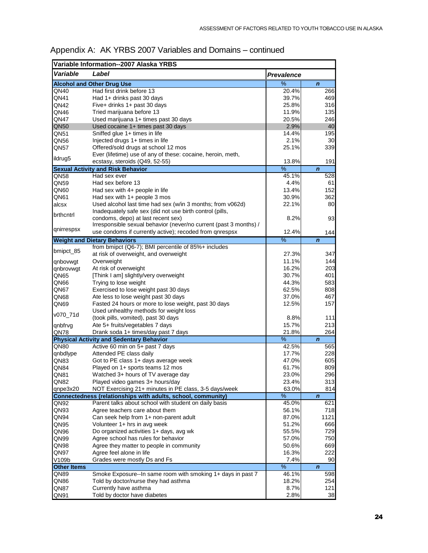| Variable Information--2007 Alaska YRBS |                                                                                        |                   |                    |  |  |  |  |  |
|----------------------------------------|----------------------------------------------------------------------------------------|-------------------|--------------------|--|--|--|--|--|
| Variable                               | Label                                                                                  | <b>Prevalence</b> |                    |  |  |  |  |  |
|                                        | <b>Alcohol and Other Drug Use</b>                                                      | %                 | $\mathbf n$        |  |  |  |  |  |
| QN40                                   | Had first drink before 13                                                              | 20.4%             | 266                |  |  |  |  |  |
| QN41                                   | Had 1+ drinks past 30 days                                                             | 39.7%             | 469                |  |  |  |  |  |
| QN42                                   | Five+ drinks 1+ past 30 days                                                           | 25.8%             | 316                |  |  |  |  |  |
| QN46                                   | Tried marijuana before 13                                                              | 11.9%             | 135                |  |  |  |  |  |
| QN47                                   | Used marijuana 1+ times past 30 days                                                   | 20.5%             | 246                |  |  |  |  |  |
| QN50                                   | Used cocaine 1+ times past 30 days                                                     | 2.9%              | 40                 |  |  |  |  |  |
| QN51                                   | Sniffed glue 1+ times in life                                                          | 14.4%             | 195                |  |  |  |  |  |
| QN56                                   | Injected drugs 1+ times in life                                                        | 2.1%              | 30                 |  |  |  |  |  |
| QN57                                   | Offered/sold drugs at school 12 mos                                                    | 25.1%             | 339                |  |  |  |  |  |
| ildrug5                                | Ever (lifetime) use of any of these: cocaine, heroin, meth,                            |                   |                    |  |  |  |  |  |
|                                        | ecstasy, steroids (Q49, 52-55)                                                         | 13.8%             | 191                |  |  |  |  |  |
|                                        | <b>Sexual Activity and Risk Behavior</b>                                               | $\frac{9}{6}$     | $\mathbf n$        |  |  |  |  |  |
| QN58                                   | Had sex ever                                                                           | 45.1%             | 528                |  |  |  |  |  |
| QN59                                   | Had sex before 13                                                                      | 4.4%              | 61                 |  |  |  |  |  |
| QN60                                   | Had sex with 4+ people in life                                                         | 13.4%             | 152                |  |  |  |  |  |
| QN61                                   | Had sex with 1+ people 3 mos                                                           | 30.9%             | 362                |  |  |  |  |  |
| alcsx                                  | Used alcohol last time had sex (w/in 3 months; from v062d)                             | 22.1%             | 80                 |  |  |  |  |  |
| brthcntrl                              | Inadequately safe sex (did not use birth control (pills,                               |                   |                    |  |  |  |  |  |
|                                        | condoms, depo) at last recent sex)                                                     | 8.2%              | 93                 |  |  |  |  |  |
| qnirrespsx                             | Irresponsible sexual behavior (never/no current (past 3 months) /                      |                   |                    |  |  |  |  |  |
|                                        | use condoms if currently active); recoded from gnrespsx                                | 12.4%             | 144                |  |  |  |  |  |
|                                        | <b>Weight and Dietary Behaviors</b>                                                    | %                 | $\mathbf n$        |  |  |  |  |  |
| bmipct_85                              | from bmipct (Q6-7); BMI percentile of 85%+ includes                                    |                   |                    |  |  |  |  |  |
|                                        | at risk of overweight, and overweight                                                  | 27.3%             | 347                |  |  |  |  |  |
| qnbovwqt                               | Overweight                                                                             | 11.1%             | 144                |  |  |  |  |  |
| qnbrovwgt                              | At risk of overweight                                                                  | 16.2%             | 203                |  |  |  |  |  |
| QN65                                   | [Think I am] slightly/very overweight                                                  | 30.7%             | 401                |  |  |  |  |  |
| QN66                                   | Trying to lose weight                                                                  | 44.3%             | 583                |  |  |  |  |  |
| QN67                                   | Exercised to lose weight past 30 days                                                  | 62.5%             | 808                |  |  |  |  |  |
| QN68                                   | Ate less to lose weight past 30 days                                                   | 37.0%             | 467                |  |  |  |  |  |
| QN69                                   | Fasted 24 hours or more to lose weight, past 30 days                                   | 12.5%             | 157                |  |  |  |  |  |
| v070_71d                               | Used unhealthy methods for weight loss                                                 |                   |                    |  |  |  |  |  |
|                                        | (took pills, vomited), past 30 days                                                    | 8.8%<br>15.7%     | 111<br>213         |  |  |  |  |  |
| qnbfrvg                                | Ate 5+ fruits/vegetables 7 days                                                        |                   |                    |  |  |  |  |  |
| QN78                                   | Drank soda 1+ times/day past 7 days<br><b>Physical Activity and Sedentary Behavior</b> | 21.8%<br>%        | 264<br>$\mathbf n$ |  |  |  |  |  |
| QN80                                   | Active 60 min on 5+ past 7 days                                                        | 42.5%             | 565                |  |  |  |  |  |
| qnbdlype                               | Attended PE class daily                                                                | 17.7%             | 228                |  |  |  |  |  |
| QN83                                   | Got to PE class 1+ days average week                                                   | 47.0%             | 605                |  |  |  |  |  |
| QN84                                   | Played on 1+ sports teams 12 mos                                                       | 61.7%             | 809                |  |  |  |  |  |
| QN81                                   | Watched 3+ hours of TV average day                                                     | 23.0%             | 296                |  |  |  |  |  |
| QN82                                   | Played video games 3+ hours/day                                                        | 23.4%             | 313                |  |  |  |  |  |
| qnpe3x20                               | NOT Exercising 21+ minutes in PE class, 3-5 days/week                                  | 63.0%             | 814                |  |  |  |  |  |
|                                        | Connectedness (relationships with adults, school, community)                           | $\%$              | $\mathbf n$        |  |  |  |  |  |
| QN92                                   | Parent talks about school with student on daily basis                                  | 45.0%             | 621                |  |  |  |  |  |
| QN93                                   | Agree teachers care about them                                                         | 56.1%             | 718                |  |  |  |  |  |
| QN94                                   | Can seek help from 1+ non-parent adult                                                 | 87.0%             | 1121               |  |  |  |  |  |
| QN95                                   | Volunteer 1+ hrs in avg week                                                           | 51.2%             | 666                |  |  |  |  |  |
| QN96                                   | Do organized activities 1+ days, avg wk                                                | 55.5%             | 729                |  |  |  |  |  |
| QN99                                   | Agree school has rules for behavior                                                    | 57.0%             | 750                |  |  |  |  |  |
| QN98                                   | Agree they matter to people in community                                               | 50.6%             | 669                |  |  |  |  |  |
| QN97                                   | Agree feel alone in life                                                               | 16.3%             | 222                |  |  |  |  |  |
| V109b                                  | Grades were mostly Ds and Fs                                                           | 7.4%              | 90                 |  |  |  |  |  |
| <b>Other Items</b>                     |                                                                                        | %                 | $\boldsymbol{n}$   |  |  |  |  |  |
| QN89                                   | Smoke Exposure--In same room with smoking 1+ days in past 7                            | 46.1%             | 598                |  |  |  |  |  |
| QN86                                   | Told by doctor/nurse they had asthma                                                   | 18.2%             | 254                |  |  |  |  |  |
| QN87                                   | Currently have asthma                                                                  | 8.7%              | 121                |  |  |  |  |  |
| QN91                                   | Told by doctor have diabetes                                                           | 2.8%              | 38                 |  |  |  |  |  |

#### Appendix A: AK YRBS 2007 Variables and Domains – continued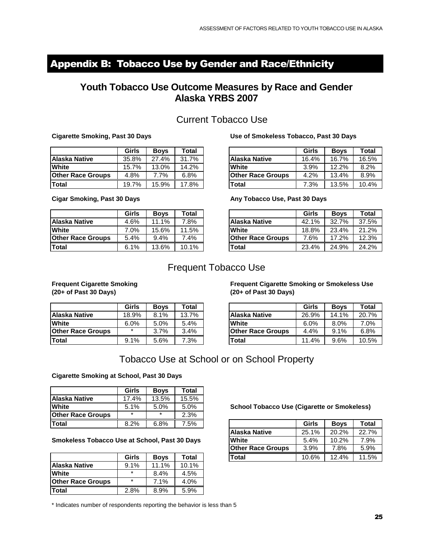### <span id="page-24-0"></span>Appendix B: Tobacco Use by Gender and Race/Ethnicity

#### **Youth Tobacco Use Outcome Measures by Race and Gender Alaska YRBS 2007**

#### Current Tobacco Use

|                                        |              |             |       | <b>Current Tobacco Use</b>             |       |             |       |
|----------------------------------------|--------------|-------------|-------|----------------------------------------|-------|-------------|-------|
| <b>Cigarette Smoking, Past 30 Days</b> |              |             |       | Use of Smokeless Tobacco, Past 30 Days |       |             |       |
|                                        | <b>Girls</b> | <b>Boys</b> | Total |                                        | Girls | <b>Boys</b> | Total |
| Alaska Native                          | 35.8%        | 27.4%       | 31.7% | <b>Alaska Native</b>                   | 16.4% | 16.7%       | 16.5% |
| <b>White</b>                           | 15.7%        | 13.0%       | 14.2% | White                                  | 3.9%  | 12.2%       | 8.2%  |
| <b>Other Race Groups</b>               | 4.8%         | 7.7%        | 6.8%  | <b>Other Race Groups</b>               | 4.2%  | 13.4%       | 8.9%  |
| <b>Total</b>                           | 19.7%        | 15.9%       | 17.8% | Total                                  | 7.3%  | 13.5%       | 10.4% |
|                                        |              |             |       |                                        |       |             |       |

#### **Cigarette Smoking, Past 30 Days Use of Smokeless Tobacco, Past 30 Days**

|           | <b>Current Tobacco Use</b> |       |                                        |       |             |       |  |  |  |  |
|-----------|----------------------------|-------|----------------------------------------|-------|-------------|-------|--|--|--|--|
| : 30 Days |                            |       | Use of Smokeless Tobacco, Past 30 Days |       |             |       |  |  |  |  |
| Girls     | <b>Boys</b>                | Total |                                        | Girls | <b>Boys</b> | Total |  |  |  |  |
| 35.8%     | 27.4%                      | 31.7% | <b>Alaska Native</b>                   | 16.4% | 16.7%       | 16.5% |  |  |  |  |
| 15.7%     | 13.0%                      | 14.2% | White                                  | 3.9%  | 12.2%       | 8.2%  |  |  |  |  |
| 4.8%      | 7.7%                       | 6.8%  | <b>Other Race Groups</b>               | 4.2%  | 13.4%       | 8.9%  |  |  |  |  |
| 19.7%     | 15.9%                      | 17.8% | <b>Total</b>                           | 7.3%  | 13.5%       | 10.4% |  |  |  |  |
| Days      |                            |       | Any Tobacco Use, Past 30 Days          |       |             |       |  |  |  |  |
| Girls     | <b>Boys</b>                | Total |                                        | Girls | <b>Boys</b> | Total |  |  |  |  |
| 4.6%      | 11.1%                      | 7.8%  | Alaska Native                          | 42.1% | 32.7%       | 37.5% |  |  |  |  |

| <b>Total</b>                       | 19.7%        | 15.9%       | 17.8%            | <b>Total</b>                  | 7.3%  | 13.5%       | 10.4% |
|------------------------------------|--------------|-------------|------------------|-------------------------------|-------|-------------|-------|
| <b>Cigar Smoking, Past 30 Days</b> |              |             |                  | Any Tobacco Use, Past 30 Days |       |             |       |
|                                    | <b>Girls</b> | <b>Boys</b> | $\mathsf{Total}$ |                               | Girls | <b>Boys</b> | Total |
| Alaska Native                      | 4.6%         | 11.1%       | 7.8%             | <b>Alaska Native</b>          | 42.1% | 32.7%       | 37.5% |
| <b>White</b>                       | 7.0%         | 15.6%       | 11.5%            | <b>White</b>                  | 18.8% | 23.4%       | 21.2% |
| <b>Other Race Groups</b>           | 5.4%         | 9.4%        | 7.4%             | <b>Other Race Groups</b>      | 7.6%  | 17.2%       | 12.3% |
| <b>Total</b>                       | 6.1%         | 13.6%       | 10.1%            | <b>Total</b>                  | 23.4% | 24.9%       | 24.2% |
|                                    |              |             |                  |                               |       |             |       |

#### **Cigar Smoking, Past 30 Days Any Tobacco Use, Past 30 Days**

|                          | Girls | <b>Boys</b> | Total |                          | Girls | <b>Boys</b> | Total |
|--------------------------|-------|-------------|-------|--------------------------|-------|-------------|-------|
| Alaska Native            | 4.6%  | 11.1%       | 7.8%  | <b>Alaska Native</b>     | 42.1% | 32.7%       | 37.5% |
| White                    | 7.0%  | 15.6%       | 11.5% | <b>White</b>             | 18.8% | 23.4%       | 21.2% |
| <b>Other Race Groups</b> | 5.4%  | 9.4%        | 7.4%  | <b>Other Race Groups</b> | 7.6%  | 17.2%       | 12.3% |
| Total                    | 6.1%  | 13.6%       | 10.1% | Total                    | 23.4% | 24.9%       | 24.2% |
|                          |       |             |       |                          |       |             |       |

#### Frequent Tobacco Use

| <b>Frequent Cigarette Smoking</b><br>$(20+$ of Past 30 Days) |         |             |       | <b>Frequent Cigarette Smoking or Smokeless Use</b><br>$(20+$ of Past 30 Days) |         |             |       |
|--------------------------------------------------------------|---------|-------------|-------|-------------------------------------------------------------------------------|---------|-------------|-------|
|                                                              | Girls   | <b>Boys</b> | Total |                                                                               | Girls   | <b>Boys</b> | Total |
| Alaska Native                                                | 18.9%   | 8.1%        | 13.7% | Alaska Native                                                                 | 26.9%   | 14.1%       | 20.7% |
| <b>White</b>                                                 | 6.0%    | 5.0%        | 5.4%  | <b>White</b>                                                                  | $6.0\%$ | 8.0%        | 7.0%  |
| <b>Other Race Groups</b>                                     | $\star$ | 3.7%        | 3.4%  | <b>Other Race Groups</b>                                                      | 4.4%    | 9.1%        | 6.8%  |
| <b>Total</b>                                                 | 9.1%    | 5.6%        | 7.3%  | Total                                                                         | 11.4%   | 9.6%        | 10.5% |

|                                                            |              |             |       | Frequent Tobacco Use                                                          |       |             |       |
|------------------------------------------------------------|--------------|-------------|-------|-------------------------------------------------------------------------------|-------|-------------|-------|
| <b>Frequent Cigarette Smoking</b><br>(20+ of Past 30 Days) |              |             |       | <b>Frequent Cigarette Smoking or Smokeless Use</b><br>$(20+$ of Past 30 Days) |       |             |       |
|                                                            | <b>Girls</b> | <b>Boys</b> | Total |                                                                               | Girls | <b>Boys</b> | Total |
| Alaska Native                                              | 18.9%        | 8.1%        | 13.7% | Alaska Native                                                                 | 26.9% | 14.1%       | 20.7% |
| White                                                      | 6.0%         | 5.0%        | 5.4%  | White                                                                         | 6.0%  | $8.0\%$     | 7.0%  |
| <b>Other Race Groups</b>                                   |              | 3.7%        | 3.4%  | <b>Other Race Groups</b>                                                      | 4.4%  | $9.1\%$     | 6.8%  |
| Total                                                      | 9.1%         | 5.6%        | 7.3%  | <b>Total</b>                                                                  | 11.4% | 9.6%        | 10.5% |
|                                                            |              |             |       |                                                                               |       |             |       |

#### Tobacco Use at School or on School Property

|                                                  |              |             |       | Tobacco Use at School or on School Property        |       |             |       |
|--------------------------------------------------|--------------|-------------|-------|----------------------------------------------------|-------|-------------|-------|
| <b>Cigarette Smoking at School, Past 30 Days</b> |              |             |       |                                                    |       |             |       |
|                                                  | <b>Girls</b> | <b>Boys</b> | Total |                                                    |       |             |       |
| Alaska Native                                    | 17.4%        | 13.5%       | 15.5% |                                                    |       |             |       |
| <b>White</b>                                     | 5.1%         | $5.0\%$     | 5.0%  | <b>School Tobacco Use (Cigarette or Smokeless)</b> |       |             |       |
| <b>Other Race Groups</b>                         |              | $\star$     | 2.3%  |                                                    |       |             |       |
| <b>Total</b>                                     | 8.2%         | 6.8%        | 7.5%  |                                                    | Girls | <b>Boys</b> | Total |
|                                                  |              |             |       | <b>Alaska Native</b>                               | 25.1% | 20.2%       | 22.7% |

| l I otal                                             | 8.2%         | 6.8%        | $1.5\%$      |
|------------------------------------------------------|--------------|-------------|--------------|
| <b>Smokeless Tobacco Use at School, Past 30 Days</b> |              |             |              |
|                                                      | <b>Girls</b> | <b>Boys</b> | <b>Total</b> |
| <b>Alaska Native</b>                                 | 9.1%         | 11.1%       | 10.1%        |
| <b>White</b>                                         | $\star$      | 8.4%        | 4.5%         |
| <b>Other Race Groups</b>                             | $\star$      | 7.1%        | 4.0%         |
| Total                                                | 2.8%         | 8.9%        | 5.9%         |
|                                                      |              |             |              |

| Alaska Native                                 | $17.4\%$ | 13.5%       | 15.5% |                                                    |       |             |       |  |  |  |
|-----------------------------------------------|----------|-------------|-------|----------------------------------------------------|-------|-------------|-------|--|--|--|
| White                                         | 5.1%     | 5.0%        | 5.0%  | <b>School Tobacco Use (Cigarette or Smokeless)</b> |       |             |       |  |  |  |
| <b>Other Race Groups</b>                      | ÷        | $\star$     | 2.3%  |                                                    |       |             |       |  |  |  |
| Total                                         | 8.2%     | 6.8%        | 7.5%  |                                                    | Girls | <b>Boys</b> | Total |  |  |  |
|                                               |          |             |       | <b>Alaska Native</b>                               | 25.1% | 20.2%       | 22.7% |  |  |  |
| Smokeless Tobacco Use at School, Past 30 Days |          |             |       | <b>White</b>                                       | 5.4%  | 10.2%       | 7.9%  |  |  |  |
|                                               |          |             |       | <b>Other Race Groups</b>                           | 3.9%  | 7.8%        | 5.9%  |  |  |  |
|                                               | Girls    | <b>Boys</b> | Total | Total                                              | 10.6% | 12.4%       | 11.5% |  |  |  |
| Alaska Native                                 | 9.1%     | 11.1%       | 10.1% |                                                    |       |             |       |  |  |  |
|                                               |          |             |       |                                                    |       |             |       |  |  |  |

\* Indicates number of respondents reporting the behavior is less than 5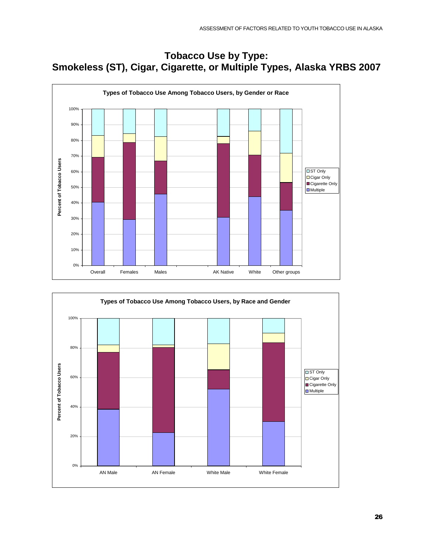### **Tobacco Use by Type: Smokeless (ST), Cigar, Cigarette, or Multiple Types, Alaska YRBS 2007**



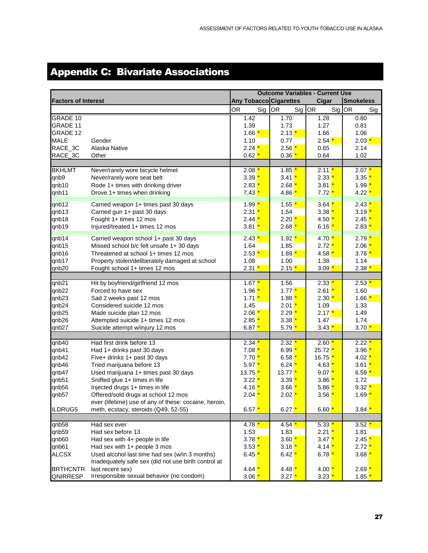## <span id="page-26-0"></span>Appendix C: Bivariate Associations

|                            |                                                       |                        |                           | <b>Outcome Variables - Current Use</b> |                    |
|----------------------------|-------------------------------------------------------|------------------------|---------------------------|----------------------------------------|--------------------|
| <b>Factors of Interest</b> |                                                       | Any Tobacco Cigarettes |                           | Cigar                                  | <b>Smokeless</b>   |
|                            |                                                       | OR<br>Sig              | Sig OR<br>OR <sub>.</sub> | Sig OR                                 | Sig                |
| <b>GRADE 10</b>            |                                                       | 1.42                   | 1.70                      | 1.28                                   | 0.80               |
| GRADE 11                   |                                                       | 1.39                   | 1.73                      | 1.27                                   | 0.81               |
| GRADE 12                   |                                                       | $1.66 \times$          | $2.13*$                   | 1.66                                   | 1.06               |
| <b>MALE</b>                | Gender                                                | 1.10                   | 0.77                      | $2.54*$                                | $2.03*$            |
| RACE_3C                    | Alaska Native                                         | $2.24*$                | $2.56*$                   | 0.65                                   | 2.14               |
| RACE_3C                    | Other                                                 | $0.62*$                | 0.36                      | 0.64                                   | 1.02               |
|                            |                                                       |                        |                           |                                        |                    |
| <b>BKHLMT</b>              | Never/rarely wore bicycle helmet                      | $2.08*$                | $1.85*$                   | $2.11*$                                | $2.07*$            |
| qnb9                       | Never/rarely wore seat belt                           | $3.39*$                | $3.41*$                   | $2.33*$                                | 3.35 <sup>1</sup>  |
| qnb10                      | Rode 1+ times with drinking driver                    | $2.83*$                | $2.68*$                   | $3.81*$                                | $1.99$ $^{\star}$  |
| qnb11                      | Drove 1+ times when drinking                          | $7.43*$                | 4.86                      | $7.72*$                                | 4.22               |
| qnb12                      | Carried weapon 1+ times past 30 days                  | $1.99*$                | $1.55*$                   | $3.64*$                                | $2.43*$            |
| qnb13                      | Carried gun 1+ past 30 days                           | $2.31*$                | 1.54                      | $3.38*$                                | $3.19*$            |
| qnb18                      | Fought 1+ times 12 mos                                | $2.44*$                | $2.20*$                   | $4.50*$                                | $2.45*$            |
| qnb19                      | Injured/treated 1+ times 12 mos                       | $3.81*$                | $2.68*$                   | $6.16*$                                | $2.83*$            |
|                            |                                                       |                        |                           |                                        |                    |
| qnb14                      | Carried weapon school 1+ past 30 days                 | $2.43*$                | $1.92*$                   | $4.70*$                                | $2.79^{\ast}$      |
| qnb15                      | Missed school b/c felt unsafe 1+30 days               | 1.64                   | 1.85                      | $2.72*$                                | 2.06               |
| qnb16                      | Threatened at school 1+ times 12 mos                  | $2.53*$                | $1.89*$                   | $4.58*$                                | $3.78*$            |
| qnb17                      | Property stolen/deliberately damaged at school        | 1.08                   | 1.00                      | 1.38                                   | 1.14               |
| qnb20                      | Fought school 1+ times 12 mos                         | $2.31*$                | $2.15*$                   | $3.09*$                                | $2.38*$            |
|                            |                                                       |                        |                           |                                        |                    |
| qnb21                      | Hit by boyfriend/girlfriend 12 mos                    | $1.67*$                | 1.56                      | 2.33                                   | $2.53$ $*$         |
| qnb22                      | Forced to have sex                                    | $1.96*$                | $1.77*$                   | $2.61*$                                | 1.60               |
| qnb23                      | Sad 2 weeks past 12 mos                               | $1.71*$                | $1.88 \nightharpoonup$    | $2.30 \, \text{*}$                     | $1.66$ $*$         |
| qnb24                      | Considered suicide 12 mos                             | 1.45                   | $2.01*$                   | 1.09                                   | 1.33               |
| qnb25                      | Made suicide plan 12 mos                              | $2.06*$                | $2.29*$                   | $2.17*$                                | 1.49               |
| qnb26                      | Attempted suicide 1+ times 12 mos                     | $2.85*$                | $3.38*$                   | 1.47                                   | 1.74               |
| qnb27                      | Suicide attempt w/injury 12 mos                       | $6.87*$                | $5.79^{\ast}$             | $3.43*$                                | $3.70*$            |
| qnb40                      | Had first drink before 13                             | $2.34*$                | $2.32*$                   | $2.60*$                                | $2.22$ $^{\prime}$ |
| qnb41                      | Had 1+ drinks past 30 days                            | $7.08*$                | $6.99*$                   | $25.72*$                               | 3.96               |
| qnb42                      | Five+ drinks 1+ past 30 days                          | $7.70*$                | $6.58*$                   | $16.75*$                               | $4.02*$            |
| qnb46                      | Tried marijuana before 13                             | $5.97*$                | $6.24*$                   | $4.63 \times 10^{-4}$                  | $3.61*$            |
| qnb47                      | Used marijuana 1+ times past 30 days                  | $13.75*$               | $13.77*$                  | $9.07*$                                | $6.59*$            |
| qnb51                      | Sniffed glue 1+ times in life                         | $3.22*$                | $3.39*$                   | $3.86*$                                | 1.72               |
| qnb56                      | Injected drugs 1+ times in life                       | $4.16$ $*$             | $3.66*$                   | $5.86*$                                | $9.32$ $*$         |
| qnb57                      | Offered/sold drugs at school 12 mos                   | $2.04*$                | $2.02*$                   | $3.56$ $*$                             | $1.69$ $*$         |
|                            | ever (lifetime) use of any of these: cocaine, heroin, |                        |                           |                                        |                    |
| ILDRUG5                    | meth, ecstacy, steroids (Q49, 52-55)                  | $6.57*$                | $6.27*$                   | 6.60 $*$                               | $3.84*$            |
|                            |                                                       |                        |                           |                                        |                    |
| qnb58                      | Had sex ever                                          | $4.78*$                | $4.54*$                   | $5.33*$                                | $3.52*$            |
| qnb59                      | Had sex before 13                                     | 1.53                   | 1.83                      | $2.21*$                                | 1.81               |
| qnb60                      | Had sex with 4+ people in life                        | $3.78*$                | $3.60 \frac{*}{•}$        | $3.47*$                                | $2.45$ $^{\prime}$ |
| qnb61                      | Had sex with 1+ people 3 mos                          | $3.53*$                | $3.16*$                   | $4.14*$                                | 2.72               |
| ALCSX                      | Used alcohol last time had sex (w/in 3 months)        | $6.45*$                | $6.42*$                   | 6.78 $^{\star}$                        | 3.68               |
|                            | Inadequately safe sex (did not use birth control at   |                        |                           |                                        |                    |
| <b>BRTHCNTR</b>            | last recent sex)                                      | $4.64*$                | $4.48*$                   | $4.00*$                                | 2.69 <sup>1</sup>  |
| QNIRRESP                   | Irresponsible sexual behavior (no condom)             | 3.06                   | $3.27*$                   | $3.23*$                                | 1.85               |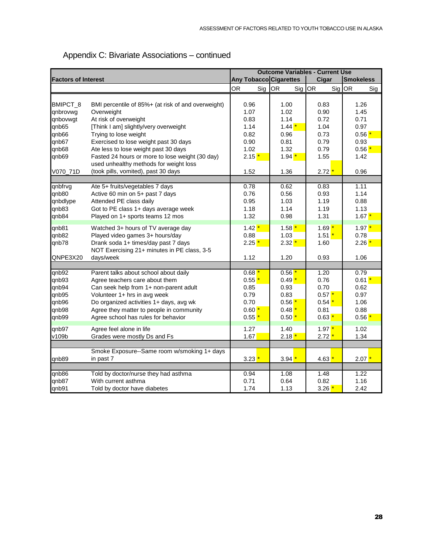|                            |                                                                                           |                        |                  | <b>Outcome Variables - Current Use</b> |                  |
|----------------------------|-------------------------------------------------------------------------------------------|------------------------|------------------|----------------------------------------|------------------|
| <b>Factors of Interest</b> |                                                                                           | Any Tobacco Cigarettes |                  | Cigar                                  | <b>Smokeless</b> |
|                            |                                                                                           | <b>OR</b><br>Sig       | <b>OR</b><br>Sig | OR<br>Sig OR                           | Sig              |
|                            |                                                                                           |                        |                  |                                        |                  |
| BMIPCT_8                   | BMI percentile of 85%+ (at risk of and overweight)                                        | 0.96                   | 1.00             | 0.83                                   | 1.26             |
| qnbrovwg                   | Overweight                                                                                | 1.07                   | 1.02             | 0.90                                   | 1.45             |
| qnbovwgt                   | At risk of overweight                                                                     | 0.83                   | 1.14             | 0.72                                   | 0.71             |
| qnb65                      | [Think I am] slightly/very overweight                                                     | 1.14                   | $1.44*$          | 1.04                                   | 0.97             |
| qnb66                      | Trying to lose weight                                                                     | 0.82                   | 0.96             | 0.73                                   | $0.56*$          |
| qnb67                      | Exercised to lose weight past 30 days                                                     | 0.90                   | 0.81             | 0.79                                   | 0.93             |
| qnb68                      | Ate less to lose weight past 30 days                                                      | 1.02                   | 1.32             | 0.79                                   | $0.56*$          |
| qnb69                      | Fasted 24 hours or more to lose weight (30 day)<br>used unhealthy methods for weight loss | $2.15*$                | $1.94*$          | 1.55                                   | 1.42             |
| V070_71D                   | (took pills, vomited), past 30 days                                                       | 1.52                   | 1.36             | $2.72^{\ast}$                          | 0.96             |
|                            |                                                                                           |                        |                  |                                        |                  |
| qnbfrvg                    | Ate 5+ fruits/vegetables 7 days                                                           | 0.78                   | 0.62             | 0.83                                   | 1.11             |
| qnb80                      | Active 60 min on 5+ past 7 days                                                           | 0.76                   | 0.56             | 0.93                                   | 1.14             |
| qnbdlype                   | Attended PE class daily                                                                   | 0.95                   | 1.03             | 1.19                                   | 0.88             |
| qnb83                      | Got to PE class 1+ days average week                                                      | 1.18                   | 1.14             | 1.19                                   | 1.13             |
| qnb84                      | Played on 1+ sports teams 12 mos                                                          | 1.32                   | 0.98             | 1.31                                   | $1.67*$          |
| qnb81                      | Watched 3+ hours of TV average day                                                        | $1.42*$                | $1.58*$          | $1.69*$                                | $1.97 \times$    |
| qnb82                      | Played video games 3+ hours/day                                                           | 0.88                   | 1.03             | $1.51*$                                | 0.78             |
| qnb78                      | Drank soda 1+ times/day past 7 days                                                       | $2.25*$                | $2.32*$          | 1.60                                   | $2.26*$          |
|                            | NOT Exercising 21+ minutes in PE class, 3-5                                               |                        |                  |                                        |                  |
| QNPE3X20                   | days/week                                                                                 | 1.12                   | 1.20             | 0.93                                   | 1.06             |
|                            |                                                                                           |                        |                  |                                        |                  |
| qnb92                      | Parent talks about school about daily                                                     | $0.68*$                | $0.56*$          | 1.20                                   | 0.79             |
| qnb93                      | Agree teachers care about them                                                            | $0.55*$                | $0.49*$          | 0.76                                   | $0.61*$          |
| qnb94                      | Can seek help from 1+ non-parent adult                                                    | 0.85                   | 0.93             | 0.70                                   | 0.62             |
| qnb95                      | Volunteer 1+ hrs in avg week                                                              | 0.79                   | 0.83             | $0.57*$                                | 0.97             |
| qnb96                      | Do organized activities 1+ days, avg wk                                                   | 0.70                   | $0.56*$          | $0.54*$                                | 1.06             |
| qnb98                      | Agree they matter to people in community                                                  | $0.60*$                | $0.48*$          | 0.81                                   | 0.88             |
| qnb99                      | Agree school has rules for behavior                                                       | $0.55*$                | $0.50*$          | $0.63*$                                | $0.56*$          |
| qnb97                      | Agree feel alone in life                                                                  | 1.27                   | 1.40             | $1.97*$                                | 1.02             |
| v109b                      | Grades were mostly Ds and Fs                                                              | 1.67                   | $2.18*$          | 2.72 <sup>1</sup>                      | 1.34             |
|                            |                                                                                           |                        |                  |                                        |                  |
|                            | Smoke Exposure--Same room w/smoking 1+ days                                               |                        |                  |                                        |                  |
| qnb89                      | in past 7                                                                                 | $3.23*$                | $3.94*$          | $4.63*$                                | $2.07*$          |
| qnb86                      | Told by doctor/nurse they had asthma                                                      | 0.94                   | 1.08             | 1.48                                   | 1.22             |
| qnb87                      | With current asthma                                                                       | 0.71                   | 0.64             | 0.82                                   | 1.16             |
| qnb91                      | Told by doctor have diabetes                                                              | 1.74                   | 1.13             | $3.26*$                                | 2.42             |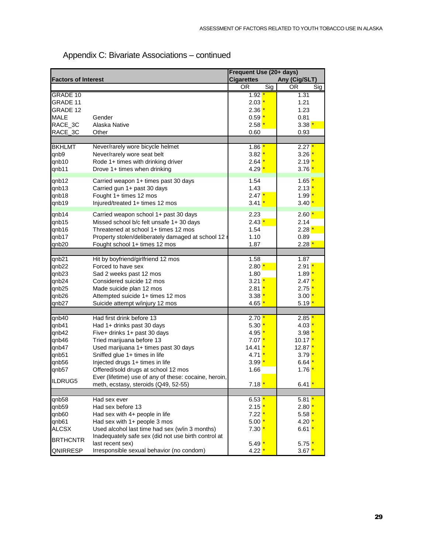|                            |                                                       | Frequent Use (20+ days) |     |                               |
|----------------------------|-------------------------------------------------------|-------------------------|-----|-------------------------------|
| <b>Factors of Interest</b> |                                                       | <b>Cigarettes</b>       |     | Any (Cig/SLT)                 |
|                            |                                                       | <b>OR</b>               | Sig | OR<br>$\overline{\text{Sig}}$ |
| GRADE 10                   |                                                       | 1.92 $^{\star}$         |     | 1.31                          |
| GRADE 11                   |                                                       | $2.03 \frac{*}{ }$      |     | 1.21                          |
| GRADE 12                   |                                                       | $2.36*$                 |     | 1.23                          |
| <b>MALE</b>                | Gender                                                | $0.59*$                 |     | 0.81                          |
| RACE_3C                    | Alaska Native                                         | $2.58*$                 |     | $3.38*$                       |
| RACE_3C                    | Other                                                 | 0.60                    |     | 0.93                          |
|                            |                                                       |                         |     |                               |
| <b>BKHLMT</b>              | Never/rarely wore bicycle helmet                      | $1.86$ *                |     | $2.27*$                       |
| qnb9                       | Never/rarely wore seat belt                           | $3.82*$                 |     | 3.26                          |
| qnb10                      | Rode 1+ times with drinking driver                    | $2.64*$                 |     | $2.19*$                       |
| qnb11                      | Drove 1+ times when drinking                          | $4.29*$                 |     | $3.76*$                       |
| qnb12                      | Carried weapon 1+ times past 30 days                  | 1.54                    |     | $1.65$ $*$                    |
| qnb13                      | Carried gun 1+ past 30 days                           | 1.43                    |     | $2.13*$                       |
| qnb18                      | Fought 1+ times 12 mos                                | $2.47*$                 |     | $1.99*$                       |
| qnb19                      | Injured/treated 1+ times 12 mos                       | $3.41*$                 |     | $3.40*$                       |
| qnb14                      | Carried weapon school 1+ past 30 days                 | 2.23                    |     | $2.60*$                       |
| qnb15                      | Missed school b/c felt unsafe 1+30 days               | $2.43*$                 |     | 2.14                          |
| qnb16                      | Threatened at school 1+ times 12 mos                  | 1.54                    |     | $2.28*$                       |
| qnb17                      | Property stolen/deliberately damaged at school 12 r   | 1.10                    |     | 0.89                          |
|                            |                                                       |                         |     |                               |
| qnb20                      | Fought school 1+ times 12 mos                         | 1.87                    |     | $2.28*$                       |
| qnb21                      | Hit by boyfriend/girlfriend 12 mos                    | 1.58                    |     | 1.87                          |
| qnb22                      | Forced to have sex                                    | $2.80*$                 |     | 2.91 <sup>1</sup>             |
| qnb23                      | Sad 2 weeks past 12 mos                               | 1.80                    |     | $1.89$ $*$                    |
| qnb24                      | Considered suicide 12 mos                             | $3.21*$                 |     | $2.47*$                       |
| qnb25                      | Made suicide plan 12 mos                              | $2.81*$                 |     | $2.75*$                       |
| qnb26                      | Attempted suicide 1+ times 12 mos                     | $3.38*$                 |     | $3.00*$                       |
| qnb27                      | Suicide attempt w/injury 12 mos                       | $4.65*$                 |     | $5.19 \frac{*}{ }$            |
|                            |                                                       |                         |     |                               |
| qnb40                      | Had first drink before 13                             | $2.70*$                 |     | 2.85                          |
| qnb41                      | Had 1+ drinks past 30 days                            | $5.30*$                 |     | $4.03*$                       |
| qnb42                      | Five+ drinks 1+ past 30 days                          | 4.95 <mark>*</mark>     |     | $3.98*$                       |
| qnb46                      | Tried marijuana before 13                             | $7.07*$                 |     | 10.17 <mark>*</mark>          |
| qnb47                      | Used marijuana 1+ times past 30 days                  | 14.41 <mark>*</mark>    |     | $12.87$ $*$                   |
| qnb51                      | Sniffed glue 1+ times in life                         | 4.71 <mark>'</mark>     |     | $3.79$ *                      |
| qnb56                      | Injected drugs 1+ times in life                       | $3.99*$                 |     | $6.64*$                       |
| qnb57                      | Offered/sold drugs at school 12 mos                   | 1.66                    |     | $1.76$ $*$                    |
| ILDRUG5                    | Ever (lifetime) use of any of these: cocaine, heroin, |                         |     |                               |
|                            | meth, ecstasy, steroids (Q49, 52-55)                  | $7.18$ $*$              |     | 6.41 $*$                      |
| qnb58                      | Had sex ever                                          | $6.53*$                 |     | $5.81*$                       |
| qnb59                      | Had sex before 13                                     | $2.15*$                 |     | $2.80*$                       |
| qnb60                      | Had sex with 4+ people in life                        | $7.22$ $^{\star}$       |     | $5.58*$                       |
| qnb61                      | Had sex with 1+ people 3 mos                          | $5.00 \,$ *             |     | $4.20*$                       |
| <b>ALCSX</b>               | Used alcohol last time had sex (w/in 3 months)        | $7.30*$                 |     | 6.61 $*$                      |
| <b>BRTHCNTR</b>            | Inadequately safe sex (did not use birth control at   |                         |     |                               |
|                            | last recent sex)                                      | $5.49^*$                |     | $5.75*$                       |
| QNIRRESP                   | Irresponsible sexual behavior (no condom)             | $4.22*$                 |     | $3.67*$                       |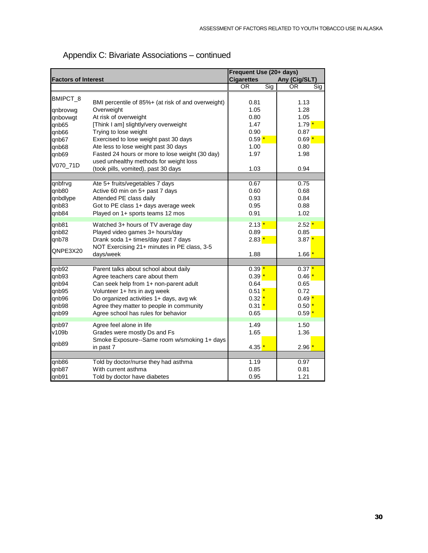|                                                             |                                                                                                                                                                                                                                                                                 | Frequent Use (20+ days)                                             |                                                                     |  |  |
|-------------------------------------------------------------|---------------------------------------------------------------------------------------------------------------------------------------------------------------------------------------------------------------------------------------------------------------------------------|---------------------------------------------------------------------|---------------------------------------------------------------------|--|--|
| <b>Factors of Interest</b>                                  |                                                                                                                                                                                                                                                                                 | <b>Cigarettes</b>                                                   | Any (Cig/SLT)                                                       |  |  |
|                                                             |                                                                                                                                                                                                                                                                                 | Sig<br><b>OR</b>                                                    | <b>OR</b><br>$\overline{\text{Sig}}$                                |  |  |
| BMIPCT_8<br>qnbrovwg<br>qnbovwgt                            | BMI percentile of 85%+ (at risk of and overweight)<br>Overweight<br>At risk of overweight                                                                                                                                                                                       | 0.81<br>1.05<br>0.80                                                | 1.13<br>1.28<br>1.05                                                |  |  |
| qnb65<br>qnb66<br>qnb67<br>qnb68                            | [Think I am] slightly/very overweight<br>Trying to lose weight<br>Exercised to lose weight past 30 days<br>Ate less to lose weight past 30 days                                                                                                                                 | 1.47<br>0.90<br>$0.59*$<br>1.00                                     | $1.79*$<br>0.87<br>$0.69*$<br>0.80                                  |  |  |
| qnb69<br>V070_71D                                           | Fasted 24 hours or more to lose weight (30 day)<br>used unhealthy methods for weight loss<br>(took pills, vomited), past 30 days                                                                                                                                                | 1.97<br>1.03                                                        | 1.98<br>0.94                                                        |  |  |
| qnbfrvg<br>qnb80<br>qnbdlype<br>qnb83<br>qnb84              | Ate 5+ fruits/vegetables 7 days<br>Active 60 min on 5+ past 7 days<br>Attended PE class daily<br>Got to PE class 1+ days average week<br>Played on 1+ sports teams 12 mos                                                                                                       | 0.67<br>0.60<br>0.93<br>0.95<br>0.91                                | 0.75<br>0.68<br>0.84<br>0.88<br>1.02                                |  |  |
| qnb81<br>qnb82<br>qnb78<br>QNPE3X20                         | Watched 3+ hours of TV average day<br>Played video games 3+ hours/day<br>Drank soda 1+ times/day past 7 days<br>NOT Exercising 21+ minutes in PE class, 3-5<br>days/week                                                                                                        | $2.13*$<br>0.89<br>$2.83*$<br>1.88                                  | $2.52*$<br>0.85<br>$3.87*$<br>$1.66*$                               |  |  |
| qnb92<br>qnb93<br>qnb94<br>qnb95<br>qnb96<br>qnb98<br>qnb99 | Parent talks about school about daily<br>Agree teachers care about them<br>Can seek help from 1+ non-parent adult<br>Volunteer 1+ hrs in avg week<br>Do organized activities 1+ days, avg wk<br>Agree they matter to people in community<br>Agree school has rules for behavior | $0.39*$<br>$0.39*$<br>0.64<br>$0.51*$<br>$0.32*$<br>$0.31*$<br>0.65 | $0.37*$<br>$0.46*$<br>0.65<br>0.72<br>$0.49*$<br>$0.50*$<br>$0.59*$ |  |  |
| qnb97<br>v109b<br>qnb89                                     | Agree feel alone in life<br>Grades were mostly Ds and Fs<br>Smoke Exposure--Same room w/smoking 1+ days<br>in past 7                                                                                                                                                            | 1.49<br>1.65<br>$4.35*$                                             | 1.50<br>1.36<br>2.96 <sup>1</sup>                                   |  |  |
| qnb86<br>qnb87<br>qnb91                                     | Told by doctor/nurse they had asthma<br>With current asthma<br>Told by doctor have diabetes                                                                                                                                                                                     | 1.19<br>0.85<br>0.95                                                | 0.97<br>0.81<br>1.21                                                |  |  |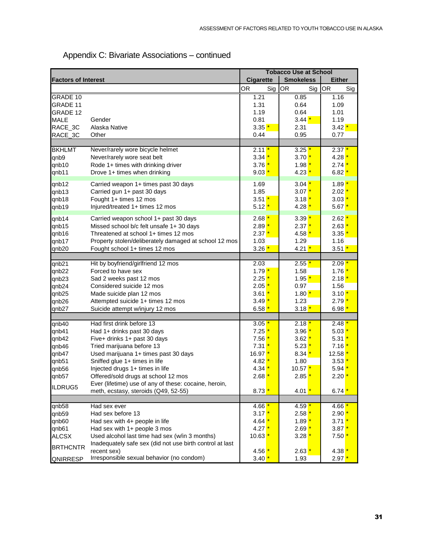|                            |                                                                                                            |                     | <b>Tobacco Use at School</b> |                     |
|----------------------------|------------------------------------------------------------------------------------------------------------|---------------------|------------------------------|---------------------|
| <b>Factors of Interest</b> |                                                                                                            | <b>Cigarette</b>    | <b>Smokeless</b>             | <b>Either</b>       |
|                            |                                                                                                            | <b>OR</b><br>Sig    | OR<br>Sig                    | <b>OR</b><br>Sig    |
| <b>GRADE 10</b>            |                                                                                                            | 1.21                | 0.85                         | 1.16                |
| <b>GRADE 11</b>            |                                                                                                            | 1.31                | 0.64                         | 1.09                |
| GRADE 12                   |                                                                                                            | 1.19                | 0.64                         | 1.01                |
| <b>MALE</b>                | Gender                                                                                                     | 0.81                | $3.44*$                      | 1.19                |
| RACE_3C                    | Alaska Native                                                                                              | $3.35*$             | 2.31                         | $3.42 \frac{*}{•}$  |
| RACE_3C                    | Other                                                                                                      | 0.44                | 0.95                         | 0.77                |
|                            |                                                                                                            |                     |                              |                     |
| <b>BKHLMT</b>              | Never/rarely wore bicycle helmet                                                                           | $2.11*$             | $3.25*$                      | $2.37$ $^{\circ}$   |
| qnb9                       | Never/rarely wore seat belt                                                                                | $3.34*$             | $3.70*$                      | 4.28                |
| qnb10                      | Rode 1+ times with drinking driver                                                                         | $3.76*$             | $1.98$ $^{\star}$            | $2.74*$             |
| qnb11                      | Drove 1+ times when drinking                                                                               | $9.03*$             | $4.23*$                      | $6.82*$             |
|                            |                                                                                                            | 1.69                | $3.04*$                      | $1.89$ $^{\star}$   |
| qnb12                      | Carried weapon 1+ times past 30 days                                                                       | 1.85                | $3.07*$                      |                     |
| qnb13                      | Carried gun 1+ past 30 days                                                                                | $3.51*$             |                              | $2.02$ $^{\prime}$  |
| qnb18                      | Fought 1+ times 12 mos                                                                                     |                     | $3.18*$                      | $3.03*$             |
| qnb19                      | Injured/treated 1+ times 12 mos                                                                            | $5.12*$             | $4.28$ $*$                   | $5.67*$             |
| qnb14                      | Carried weapon school 1+ past 30 days                                                                      | $2.68*$             | $3.39*$                      | $2.62*$             |
| qnb15                      | Missed school b/c felt unsafe 1+30 days                                                                    | $2.89*$             | $2.37*$                      | $2.63$ $^{\ast}$    |
| qnb16                      | Threatened at school 1+ times 12 mos                                                                       | $2.37*$             | $4.58$ $*$                   | $3.35*$             |
| qnb17                      | Property stolen/deliberately damaged at school 12 mos                                                      | 1.03                | 1.29                         | 1.16                |
| qnb20                      | Fought school 1+ times 12 mos                                                                              | $3.26*$             | $4.21*$                      | $3.51*$             |
|                            |                                                                                                            |                     |                              |                     |
| qnb21                      | Hit by boyfriend/girlfriend 12 mos                                                                         | 2.03                | $2.55*$                      | $2.09$ $*$          |
| qnb22                      | Forced to have sex                                                                                         | $1.79*$             | 1.58                         | $1.76$ i            |
| qnb23                      | Sad 2 weeks past 12 mos                                                                                    | $2.25*$             | $1.95 \frac{*}{ }$           | $2.18$ $*$          |
| qnb24                      | Considered suicide 12 mos                                                                                  | $2.05*$             | 0.97                         | 1.56                |
| qnb25                      | Made suicide plan 12 mos                                                                                   | $3.61*$             | $1.80$ $^{\star}$            | $3.10*$             |
| qnb26                      | Attempted suicide 1+ times 12 mos                                                                          | $3.49*$             | 1.23                         | $2.79*$             |
| qnb27                      | Suicide attempt w/injury 12 mos                                                                            | $6.58*$             | $3.18*$                      | $6.98*$             |
|                            |                                                                                                            |                     |                              |                     |
| qnb40                      | Had first drink before 13                                                                                  | $3.05*$             | $2.18*$                      | 2.48''              |
| qnb41                      | Had 1+ drinks past 30 days                                                                                 | $7.25*$             | $3.96*$                      | $5.03*$             |
| qnb42                      | Five+ drinks 1+ past 30 days                                                                               | $7.56*$             | $3.62*$                      | $5.31$ $^{\star}$   |
| qnb46                      | Tried marijuana before 13                                                                                  | $7.31*$             | $5.23*$                      | $7.16$ $^{\ast}$    |
| qnb47                      | Used marijuana 1+ times past 30 days                                                                       | $16.97*$            | $8.34*$                      | 12.58               |
| qnb51                      | Sniffed glue 1+ times in life                                                                              | $4.82*$             | 1.80                         | $3.53$ $^{\prime}$  |
| qnb56                      | Injected drugs 1+ times in life                                                                            | $4.34*$             | $10.57$ $*$                  | 5.94                |
| qnb57                      | Offered/sold drugs at school 12 mos                                                                        | $2.68*$             | $2.85$ $*$                   | $2.20$ $^{\star}$   |
| ILDRUG5                    | Ever (lifetime) use of any of these: cocaine, heroin,                                                      |                     |                              |                     |
|                            | meth, ecstasy, steroids (Q49, 52-55)                                                                       | $8.73*$             | $4.01*$                      | 6.74 $^{\star}$     |
| qnb58                      | Had sex ever                                                                                               | 4.66 <mark>*</mark> | 4.59 <mark>'</mark>          | 4.66 <mark>'</mark> |
| qnb59                      | Had sex before 13                                                                                          | $3.17*$             | $2.58$ $*$                   | 2.90                |
| qnb60                      |                                                                                                            |                     |                              |                     |
|                            | Had sex with 4+ people in life<br>Had sex with 1+ people 3 mos                                             | $4.64*$             | $1.89$ $^{\star}$            | $3.71$ $^{\ast}$    |
| qnb61                      |                                                                                                            | $4.27*$             | $2.69*$                      | $3.87*$             |
| <b>ALCSX</b>               | Used alcohol last time had sex (w/in 3 months)<br>Inadequately safe sex (did not use birth control at last | $10.63$ $*$         | $3.28$ $*$                   | $7.50 \,$ *         |
| <b>BRTHCNTR</b>            | recent sex)                                                                                                | $4.56*$             | $2.63*$                      | 4.38 <sup>1</sup>   |
| QNIRRESP                   | Irresponsible sexual behavior (no condom)                                                                  | $3.40*$             | 1.93                         | $2.97*$             |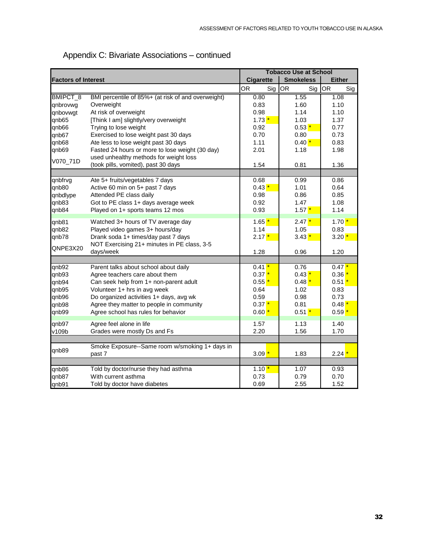|                            |                                                    |                  | <b>Tobacco Use at School</b> |               |
|----------------------------|----------------------------------------------------|------------------|------------------------------|---------------|
| <b>Factors of Interest</b> |                                                    | <b>Cigarette</b> | <b>Smokeless</b>             | <b>Either</b> |
|                            |                                                    | <b>OR</b><br>Sig | Sig OR<br>OR                 | Sig           |
| BMIPCT_8                   | BMI percentile of 85%+ (at risk of and overweight) | 0.80             | 1.55                         | 1.08          |
| qnbrovwg                   | Overweight                                         | 0.83             | 1.60                         | 1.10          |
| qnbovwgt                   | At risk of overweight                              | 0.98             | 1.14                         | 1.10          |
| qnb65                      | [Think I am] slightly/very overweight              | $1.73*$          | 1.03                         | 1.37          |
| qnb66                      | Trying to lose weight                              | 0.92             | $0.53*$                      | 0.77          |
| qnb67                      | Exercised to lose weight past 30 days              | 0.70             | 0.80                         | 0.73          |
| qnb68                      | Ate less to lose weight past 30 days               | 1.11             | $0.40*$                      | 0.83          |
| qnb69                      | Fasted 24 hours or more to lose weight (30 day)    | 2.01             | 1.18                         | 1.98          |
| V070_71D                   | used unhealthy methods for weight loss             |                  |                              |               |
|                            | (took pills, vomited), past 30 days                | 1.54             | 0.81                         | 1.36          |
|                            |                                                    |                  |                              |               |
| qnbfrvg                    | Ate 5+ fruits/vegetables 7 days                    | 0.68             | 0.99                         | 0.86          |
| qnb80                      | Active 60 min on 5+ past 7 days                    | $0.43*$          | 1.01                         | 0.64          |
| qnbdlype                   | Attended PE class daily                            | 0.98             | 0.86                         | 0.85          |
| qnb83                      | Got to PE class 1+ days average week               | 0.92             | 1.47                         | 1.08          |
| qnb84                      | Played on 1+ sports teams 12 mos                   | 0.93             | $1.57*$                      | 1.14          |
| qnb81                      | Watched 3+ hours of TV average day                 | $1.65*$          | $2.47*$                      | $1.70*$       |
| qnb82                      | Played video games 3+ hours/day                    | 1.14             | 1.05                         | 0.83          |
| qnb78                      | Drank soda 1+ times/day past 7 days                | $2.17*$          | $3.43*$                      | $3.20*$       |
| QNPE3X20                   | NOT Exercising 21+ minutes in PE class, 3-5        |                  |                              |               |
|                            | days/week                                          | 1.28             | 0.96                         | 1.20          |
|                            |                                                    |                  |                              |               |
| qnb92                      | Parent talks about school about daily              | $0.41*$          | 0.76                         | $0.47*$       |
| qnb93                      | Agree teachers care about them                     | $0.37*$          | $0.43*$                      | 0.36          |
| qnb94                      | Can seek help from 1+ non-parent adult             | $0.55*$          | $0.48*$                      | $0.51*$       |
| qnb95                      | Volunteer 1+ hrs in avg week                       | 0.64             | 1.02                         | 0.83          |
| qnb96                      | Do organized activities 1+ days, avg wk            | 0.59             | 0.98                         | 0.73          |
| qnb98                      | Agree they matter to people in community           | $0.37*$          | 0.81                         | $0.48*$       |
| qnb99                      | Agree school has rules for behavior                | $0.60*$          | $0.51*$                      | $0.59*$       |
| qnb97                      | Agree feel alone in life                           | 1.57             | 1.13                         | 1.40          |
| v109b                      | Grades were mostly Ds and Fs                       | 2.20             | 1.56                         | 1.70          |
|                            |                                                    |                  |                              |               |
| qnb89                      | Smoke Exposure--Same room w/smoking 1+ days in     |                  |                              |               |
|                            | past 7                                             | $3.09*$          | 1.83                         | $2.24*$       |
|                            |                                                    |                  |                              |               |
| qnb86                      | Told by doctor/nurse they had asthma               | $1.10*$          | 1.07                         | 0.93          |
| qnb87                      | With current asthma                                | 0.73             | 0.79                         | 0.70          |
| qnb91                      | Told by doctor have diabetes                       | 0.69             | 2.55                         | 1.52          |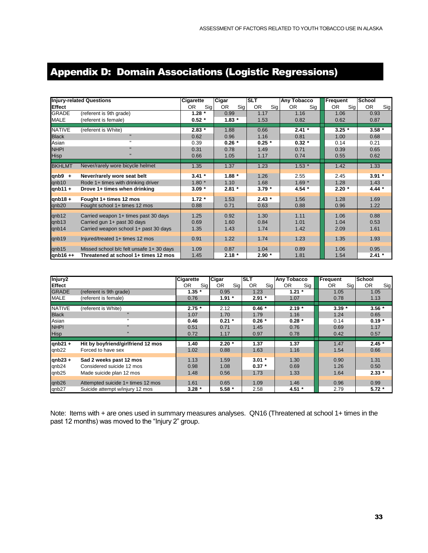### <span id="page-32-0"></span>Appendix D: Domain Associations (Logistic Regressions)

|               | <b>Injury-related Questions</b>         | Cigarette  | Cigar      | <b>SLT</b> | <b>Any Tobacco</b> | Frequent  | <b>School</b>    |
|---------------|-----------------------------------------|------------|------------|------------|--------------------|-----------|------------------|
| <b>Effect</b> |                                         | OR.<br>Sig | Sig<br>OR. | Sig<br>OR. | Sig<br>OR.         | 0R<br>Sig | <b>OR</b><br>Sig |
| <b>GRADE</b>  | (referent is 9th grade)                 | $1.28*$    | 0.99       | 1.17       | 1.16               | 1.06      | 0.93             |
| MALE          | (referent is female)                    | $0.52*$    | $1.83*$    | 1.53       | 0.82               | 0.62      | 0.87             |
| <b>NATIVE</b> |                                         | $2.83*$    | 1.88       | 0.66       | $2.41 *$           | $3.25*$   | $3.58*$          |
|               | (referent is White)<br>$\mathbf{u}$     |            |            |            |                    |           |                  |
| <b>Black</b>  | $\mathbf{u}$                            | 0.62       | 0.96       | 1.16       | 0.81               | 1.00      | 0.68             |
| Asian         |                                         | 0.39       | $0.26*$    | $0.25 *$   | $0.32 *$           | 0.14      | 0.21             |
| <b>NHPI</b>   |                                         | 0.31       | 0.78       | 1.49       | 0.71               | 0.39      | 0.65             |
| <b>Hisp</b>   |                                         | 0.66       | 1.05       | 1.17       | 0.74               | 0.55      | 0.62             |
| <b>BKHLMT</b> | Never/rarely wore bicycle helmet        | 1.35       | 1.37       | 1.23       | $1.53*$            | 1.42      | 1.33             |
| $qnb9 +$      | Never/rarely wore seat belt             | $3.41 *$   | $1.88*$    | 1.26       | 2.55               | 2.45      | $3.91*$          |
| qnb10         | Rode 1+ times with drinking driver      | $1.80*$    | 1.10       | 1.68       | $1.69*$            | 1.28      | 1.43             |
| $qnb11 +$     | Drove 1+ times when drinking            | $3.09*$    | $2.81 *$   | $3.79*$    | 4.54 $*$           | $2.20*$   | 4.44 $*$         |
|               |                                         |            |            |            |                    |           |                  |
| $qnb18 +$     | Fought 1+ times 12 mos                  | $1.72 *$   | 1.53       | $2.43*$    | 1.56               | 1.28      | 1.69             |
| qnb20         | Fought school 1+ times 12 mos           | 0.88       | 0.71       | 0.63       | 0.88               | 0.96      | 1.22             |
| qnb12         | Carried weapon 1+ times past 30 days    | 1.25       | 0.92       | 1.30       | 1.11               | 1.06      | 0.88             |
| qnb13         | Carried gun 1+ past 30 days             | 0.69       | 1.60       | 0.84       | 1.01               | 1.04      | 0.53             |
| qnb14         | Carried weapon school 1+ past 30 days   | 1.35       | 1.43       | 1.74       | 1.42               | 2.09      | 1.61             |
|               |                                         |            |            |            |                    |           |                  |
| qnb19         | Injured/treated 1+ times 12 mos         | 0.91       | 1.22       | 1.74       | 1.23               | 1.35      | 1.93             |
| qnb15         | Missed school b/c felt unsafe 1+30 days | 1.09       | 0.87       | 1.04       | 0.89               | 1.06      | 0.95             |
| qnb16++       | Threatened at school 1+ times 12 mos    | 1.45       | $2.18*$    | $2.90*$    | 1.81               | 1.54      | $2.41 *$         |

| Injury2        |                                    | <b>Cigarette</b> | Cigar      | ISLT             | <b>Any Tobacco</b> | Frequent   | <b>School</b> |
|----------------|------------------------------------|------------------|------------|------------------|--------------------|------------|---------------|
| <b>IEffect</b> |                                    | Sig<br><b>OR</b> | OR.<br>Sig | <b>OR</b><br>Sig | <b>OR</b><br>Sig   | OR.<br>Sig | OR.<br>Sig    |
| <b>GRADE</b>   | (referent is 9th grade)            | $1.35 *$         | 0.95       | 1.23             | $1.21 *$           | 1.05       | 1.05          |
| <b>MALE</b>    | (referent is female)               | 0.76             | $1.91 *$   | $2.91*$          | 1.07               | 0.78       | 1.13          |
| <b>NATIVE</b>  | (referent is White)                | $2.75*$          | 2.12       | $0.46*$          | $2.19*$            | $3.39*$    | $3.56*$       |
| <b>Black</b>   |                                    | 1.07             | 1.70       | 1.79             | 1.16               | 1.24       | 0.65          |
| Asian          |                                    | 0.46             | $0.21 *$   | $0.26*$          | $0.28 *$           | 0.14       | $0.19 *$      |
| <b>NHPI</b>    |                                    | 0.51             | 0.71       | 1.45             | 0.76               | 0.69       | 1.17          |
| <b>Hisp</b>    |                                    | 0.72             | 1.17       | 0.97             | 0.78               | 0.42       | 0.57          |
|                |                                    |                  |            |                  |                    |            |               |
| $qnb21 +$      | Hit by boyfriend/girlfriend 12 mos | 1.40             | $2.20*$    | 1.37             | 1.37               | 1.47       | $2.45*$       |
| qnb22          | Forced to have sex                 | 1.02             | 0.88       | 1.63             | 1.16               | 1.54       | 0.66          |
| $qnb23 +$      | Sad 2 weeks past 12 mos            | 1.13             | 1.59       | $3.01*$          | 1.30               | 0.90       | 1.31          |
| qnb24          | Considered suicide 12 mos          | 0.98             | 1.08       | $0.37 *$         | 0.69               | 1.26       | 0.50          |
| qnb25          | Made suicide plan 12 mos           | 1.48             | 0.56       | 1.73             | 1.33               | 1.64       | $2.33*$       |
| qnb26          | Attempted suicide 1+ times 12 mos  | 1.61             | 0.65       | 1.09             | 1.46               | 0.96       | 0.99          |
| qnb27          | Suicide attempt w/injury 12 mos    | $3.28*$          | $5.58*$    | 2.58             | $4.51$ *           | 2.79       | $5.72*$       |

Note: Items with + are ones used in summary measures analyses. QN16 (Threatened at school 1+ times in the past 12 months) was moved to the "Injury 2" group.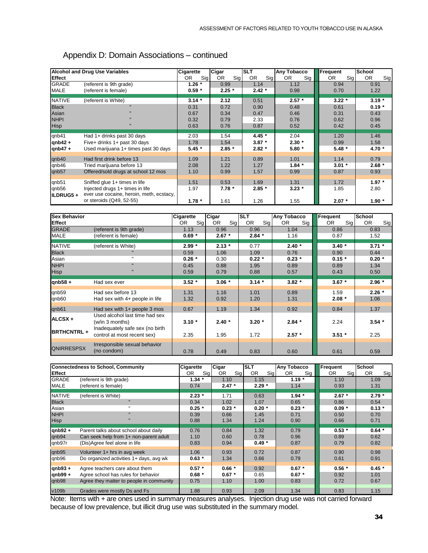|                   | <b>Alcohol and Drug Use Variables</b>                                       | Cigarette  | Cigar      | <b>SLT</b> | Any Tobacco | Frequent   | School     |
|-------------------|-----------------------------------------------------------------------------|------------|------------|------------|-------------|------------|------------|
| Effect            |                                                                             | OR.<br>Sig | OR.<br>Sig | 0R<br>Sig  | 0R<br>Sig   | Sig<br>OR. | OR.<br>Sig |
| <b>GRADE</b>      | (referent is 9th grade)                                                     | $1.26*$    | 0.99       | 1.14       | 1.12        | 0.94       | 0.91       |
| <b>MALE</b>       | (referent is female)                                                        | $0.59*$    | $2.25*$    | $2.42*$    | 0.98        | 0.70       | 1.22       |
| NATIVE            | (referent is White)                                                         | $3.14*$    | 2.12       | 0.51       | $2.57*$     | $3.22*$    | $3.19*$    |
| <b>Black</b>      |                                                                             | 0.31       | 0.72       | 0.90       | 0.48        | 0.61       | $0.19*$    |
| Asian             |                                                                             | 0.67       | 0.34       | 0.47       | 0.46        | 0.31       | 0.43       |
| <b>NHPI</b>       |                                                                             | 0.32       | 0.79       | 2.33       | 0.76        | 0.62       | 0.96       |
| <b>Hisp</b>       |                                                                             | 0.63       | 0.76       | 0.87       | 0.52        | 0.42       | 0.45       |
| qnb41             | Had 1+ drinks past 30 days                                                  | 2.03       | 1.54       | 4.45 $*$   | 2.04        | 1.20       | 1.46       |
| $qnb42 +$         | Five+ drinks 1+ past 30 days                                                | 1.78       | 1.54       | $3.87*$    | $2.30*$     | 0.99       | 1.58       |
| qnb47+            | Used marijuana 1+ times past 30 days                                        | $5.45*$    | $2.85*$    | $2.82*$    | $5.80*$     | $5.48*$    | 4.70 $*$   |
| qnb40             | Had first drink before 13                                                   | 1.09       | 1.21       | 0.89       | 1.01        | 1.14       | 0.79       |
| qnb46             | Tried marijuana before 13                                                   | 2.08       | 1.22       | 1.27       | $1.84*$     | $3.01*$    | $2.68*$    |
| qnb57             | Offered/sold drugs at school 12 mos                                         | 1.10       | 0.99       | 1.57       | 0.99        | 0.87       | 0.93       |
| qnb51             | Sniffed glue 1+ times in life                                               | 1.51       | 0.53       | 1.69       | 1.31        | 1.72       | $1.97*$    |
| qnb56<br>ILDRUG5+ | Injected drugs 1+ times in life<br>ever use cocaine, heroin, meth, ecstacy, | 1.97       | $7.78*$    | $2.85*$    | $3.23*$     | 1.85       | 2.80       |
|                   | or steroids (Q49, 52-55)                                                    | $1.78 *$   | 1.61       | 1.26       | 1.55        | $2.07*$    | $1.90*$    |

#### Appendix D: Domain Associations – continued

| <b>Sex Behavior</b> |                                                                | Cigarette  | Cigar      | <b>SLT</b>       | Any Tobacco |            | <b>School</b>    |
|---------------------|----------------------------------------------------------------|------------|------------|------------------|-------------|------------|------------------|
|                     |                                                                |            |            |                  |             | Frequent   |                  |
| <b>Effect</b>       |                                                                | Sig<br>OR. | Sig<br>OR. | <b>OR</b><br>Sig | Sig<br>OR.  | Sig<br>OR. | <b>OR</b><br>Sig |
| <b>GRADE</b>        | (referent is 9th grade)                                        | 1.13       | 0.96       | 0.96             | 1.04        | 0.86       | 0.83             |
| <b>MALE</b>         | (referent is female)                                           | $0.69 *$   | $2.67*$    | $2.84*$          | 1.16        | 0.87       | 1.52             |
| <b>NATIVE</b>       | (referent is White)                                            | $2.99*$    | $2.13*$    | 0.77             | $2.40*$     | $3.40*$    | $3.71 *$         |
| <b>Black</b>        |                                                                | 0.59       | 1.06       | 1.09             | 0.76        | 0.90       | 0.44             |
| Asian               | $\mathbf{H}$                                                   | $0.26*$    | 0.30       | $0.22 *$         | $0.23 *$    | $0.15 *$   | $0.20*$          |
| <b>NHPI</b>         |                                                                | 0.45       | 0.88       | 1.95             | 0.89        | 0.89       | 1.34             |
| <b>Hisp</b>         |                                                                | 0.59       | 0.79       | 0.88             | 0.57        | 0.43       | 0.50             |
| $qnb58 +$           | Had sex ever                                                   | $3.52*$    | $3.06*$    | $3.14*$          | $3.82*$     | $3.67*$    | $2.96*$          |
| qnb59               | Had sex before 13                                              | 1.31       | 1.16       | 1.01             | 0.89        | 1.59       | $2.26*$          |
| qnb60               | Had sex with 4+ people in life                                 | 1.32       | 0.92       | 1.20             | 1.31        | $2.08*$    | 1.06             |
| qnb61               | Had sex with 1+ people 3 mos                                   | 0.67       | 1.19       | 1.34             | 0.92        | 0.84       | 1.37             |
| ALCSX +             | Used alcohol last time had sex<br>(w/in 3 months)              | $3.10*$    | $2.40*$    | $3.20*$          | $2.84*$     | 2.24       | $3.54*$          |
| <b>BRTHCNTRL+</b>   | Inadequately safe sex (no birth<br>control at most recent sex) | 2.35       | 1.95       | 1.72             | $2.57 *$    | $3.51*$    | 2.25             |
| <b>QNIRRESPSX</b>   | Irresponsible sexual behavior<br>(no condom)                   | 0.78       | 0.49       | 0.83             | 0.60        | 0.61       | 0.59             |

|               | <b>Connectedness to School, Community</b> | Cigarette  | Cigar     | <b>SLT</b>       | <b>Any Tobacco</b> | Frequent   | <b>School</b>    |
|---------------|-------------------------------------------|------------|-----------|------------------|--------------------|------------|------------------|
| <b>Effect</b> |                                           | Sig<br>OR. | 0R<br>Sig | <b>OR</b><br>Sig | OR.<br>Sig         | Sig<br>OR. | <b>OR</b><br>Sig |
| <b>GRADE</b>  | (referent is 9th grade)                   | $1.34*$    | 1.10      | 1.15             | $1.19*$            | 1.10       | 1.09             |
| <b>MALE</b>   | (referent is female)                      | 0.74       | $2.47*$   | $2.29*$          | 1.14               | 0.93       | 1.31             |
| <b>NATIVE</b> | (referent is White)                       | $2.23*$    | 1.71      | 0.63             | $1.94*$            | $2.67*$    | $2.79*$          |
| <b>Black</b>  | $\mathbf{u}$                              | 0.34       | 1.02      | 1.07             | 0.65               | 0.86       | 0.54             |
| Asian         | ш.                                        | $0.25*$    | $0.23*$   | $0.20*$          | $0.23 *$           | $0.09 *$   | $0.13*$          |
| <b>NHPI</b>   | $\mathbf{u}$                              | 0.39       | 0.66      | 1.45             | 0.71               | 0.50       | 0.70             |
| <b>Hisp</b>   | $\mathbf{u}$                              | 0.88       | 1.34      | 1.24             | 0.90               | 0.66       | 0.71             |
| qnb92 $+$     | Parent talks about school about daily     | 0.76       | 0.84      | 1.32             | 0.79               | $0.53*$    | $0.64*$          |
| qnb94         | Can seek help from 1+ non-parent adult    | 1.10       | 0.60      | 0.78             | 0.96               | 0.89       | 0.62             |
| qnb97r        | (Dis)Agree feel alone in life             | 0.83       | 0.94      | $0.49 *$         | 0.87               | 0.79       | 0.82             |
| qnb95         | Volunteer 1+ hrs in avg week              | 1.06       | 0.93      | 0.72             | 0.87               | 0.90       | 0.98             |
| qnb96         | Do organized activities 1+ days, avg wk   | $0.63*$    | 1.34      | 0.66             | 0.79               | 0.61       | 0.91             |
| $qnb93 +$     | Agree teachers care about them            | $0.57 *$   | $0.66*$   | 0.92             | $0.67 *$           | $0.56*$    | $0.45*$          |
| qnb99+        | Agree school has rules for behavior       | $0.68*$    | $0.67*$   | 0.65             | $0.67*$            | 0.92       | 1.01             |
| qnb98         | Agree they matter to people in community  | 0.75       | 1.10      | 1.00             | 0.83               | 0.72       | 0.67             |
| v109b         | Grades were mostly Ds and Fs              | 1.88       | 0.93      | 2.09             | 1.34               | 0.83       | 1.15             |

Note: Items with + are ones used in summary measures analyses. Injection drug use was not carried forward because of low prevalence, but illicit drug use was substituted in the summary model.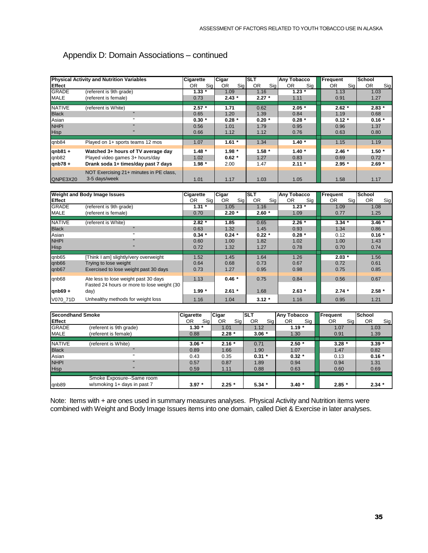#### Appendix D: Domain Associations – continued

|               | <b>Physical Activity and Nutrition Variables</b>         | <b>Cigarette</b> | Cigar        | ISLT             | <b>Any Tobacco</b> | Frequent         | <b>School</b>    |
|---------------|----------------------------------------------------------|------------------|--------------|------------------|--------------------|------------------|------------------|
| <b>Effect</b> |                                                          | OR.<br>Sig       | Sig  <br>OR. | <b>OR</b><br>Sig | Sig<br>0R          | <b>OR</b><br>Sig | <b>OR</b><br>Sig |
| <b>GRADE</b>  | (referent is 9th grade)                                  | $1.33*$          | 1.09         | 1.16             | $1.23*$            | 1.13             | 1.03             |
| <b>MALE</b>   | (referent is female)                                     | 0.73             | $2.43*$      | $2.27*$          | 1.11               | 0.91             | 1.27             |
| <b>NATIVE</b> | (referent is White)                                      | $2.57*$          | 1.71         | 0.62             | $2.05*$            | $2.62*$          | $2.83*$          |
| <b>Black</b>  | $\mathbf{u}$                                             | 0.65             | 1.20         | 1.39             | 0.84               | 1.19             | 0.68             |
| Asian         |                                                          | $0.30*$          | $0.28*$      | $0.20*$          | $0.28*$            | $0.12 *$         | $0.16*$          |
| <b>NHPI</b>   | $\mathbf{u}$                                             | 0.56             | 1.01         | 1.79             | 0.95               | 0.96             | 1.37             |
| <b>Hisp</b>   |                                                          | 0.66             | 1.12         | 1.12             | 0.76               | 0.63             | 0.80             |
| qnb84         | Played on 1+ sports teams 12 mos                         | 1.07             | $1.61 *$     | 1.34             | $1.40*$            | 1.15             | 1.19             |
| $qnb81 +$     | Watched 3+ hours of TV average day                       | $1.48*$          | $1.98*$      | $1.58*$          | $1.40*$            | $2.46*$          | $1.50*$          |
| qnb82         | Played video games 3+ hours/day                          | 1.02             | $0.62*$      | 1.27             | 0.83               | 0.69             | 0.72             |
| $qnb78 +$     | Drank soda 1+ times/day past 7 days                      | $1.98*$          | 2.00         | 1.47             | $2.11 *$           | $2.95*$          | $2.69*$          |
| QNPE3X20      | NOT Exercising 21+ minutes in PE class,<br>3-5 days/week | 1.01             | 1.17         | 1.03             | 1.05               | 1.58             | 1.17             |

| <b>Weight and Body Image Issues</b> |                                            | <b>Cigarette</b> | Cigar      | <b>SLT</b> | <b>Any Tobacco</b> | Frequent  | <b>School</b>    |
|-------------------------------------|--------------------------------------------|------------------|------------|------------|--------------------|-----------|------------------|
| <b>Effect</b>                       |                                            | Sig<br>OR.       | OR.<br>Sig | OR.<br>Sig | <b>OR</b><br>Sig   | Sig<br>0R | <b>OR</b><br>Sig |
| <b>GRADE</b>                        | (referent is 9th grade)                    | $1.31 *$         | 1.05       | 1.16       | $1.23 *$           | 1.09      | 1.08             |
| <b>MALE</b>                         | (referent is female)                       | 0.70             | $2.20*$    | $2.60*$    | 1.09               | 0.77      | 1.25             |
| <b>NATIVE</b>                       | (referent is White)                        | $2.82*$          | 1.85       | 0.65       | $2.26*$            | $3.34*$   | $3.46*$          |
| <b>Black</b>                        | $\mathbf{u}$                               | 0.63             | 1.32       | 1.45       | 0.93               | 1.34      | 0.86             |
| Asian                               | $\mathbf{u}$                               | $0.34*$          | $0.24*$    | $0.22*$    | $0.28*$            | 0.12      | $0.16*$          |
| <b>NHPI</b>                         | $\mathbf{u}$                               | 0.60             | 1.00       | 1.82       | 1.02               | 1.00      | 1.43             |
| <b>Hisp</b>                         | $\mathbf{u}$                               | 0.72             | 1.32       | 1.27       | 0.78               | 0.70      | 0.74             |
|                                     |                                            |                  |            |            |                    |           |                  |
| qnb65                               | [Think I am] slightly/very overweight      | 1.52             | 1.45       | 1.64       | 1.26               | $2.03*$   | 1.56             |
| qnb66                               | Trying to lose weight                      | 0.64             | 0.68       | 0.73       | 0.67               | 0.72      | 0.61             |
| qnb67                               | Exercised to lose weight past 30 days      | 0.73             | 1.27       | 0.95       | 0.98               | 0.75      | 0.85             |
| qnb68                               | Ate less to lose weight past 30 days       | 1.13             | $0.46*$    | 0.75       | 0.84               | 0.56      | 0.67             |
|                                     | Fasted 24 hours or more to lose weight (30 |                  |            |            |                    |           |                  |
| $qnb69 +$                           | day)                                       | $1.99*$          | $2.61*$    | 1.68       | $2.63*$            | $2.74*$   | $2.58*$          |
| V070 71D                            | Unhealthy methods for weight loss          | 1.16             | 1.04       | $3.12*$    | 1.16               | 0.95      | 1.21             |

| <b>Secondhand Smoke</b> |                             | Cigarette | Cigar     | <b>ISLT</b>      | Any Tobacco | Frequent  | <b>School</b>    |
|-------------------------|-----------------------------|-----------|-----------|------------------|-------------|-----------|------------------|
| <b>Effect</b>           |                             | Sig<br>0R | 0R<br>Sig | <b>OR</b><br>Sig | Sig<br>0R   | 0R<br>Sig | <b>OR</b><br>Sig |
| <b>GRADE</b>            | (referent is 9th grade)     | $1.30*$   | 1.01      | 1.12             | $1.19*$     | 1.07      | 1.03             |
| <b>MALE</b>             | (referent is female)        | 0.88      | $2.28*$   | $3.06*$          | 1.30        | 0.91      | 1.39             |
|                         |                             |           |           |                  |             |           |                  |
| <b>NATIVE</b>           | (referent is White)         | $3.06*$   | $2.16*$   | 0.71             | $2.50*$     | $3.28*$   | $3.39*$          |
| <b>Black</b>            | $\mathbf{u}$                | 0.89      | 1.66      | 1.90             | 1.07        | 1.47      | 0.82             |
| Asian                   | $\mathbf{u}$                | 0.43      | 0.35      | $0.31 *$         | $0.32*$     | 0.13      | $0.16*$          |
| <b>NHPI</b>             | $\mathbf{u}$                | 0.57      | 0.87      | 1.89             | 0.94        | 0.94      | 1.31             |
| <b>Hisp</b>             | $\mathbf{u}$                | 0.59      | 1.11      | 0.88             | 0.63        | 0.60      | 0.69             |
|                         |                             |           |           |                  |             |           |                  |
|                         | Smoke Exposure--Same room   |           |           |                  |             |           |                  |
| qnb89                   | w/smoking 1+ days in past 7 | $3.97*$   | $2.25*$   | $5.34*$          | $3.40*$     | $2.85*$   | $2.34*$          |

Note: Items with + are ones used in summary measures analyses. Physical Activity and Nutrition items were combined with Weight and Body Image Issues items into one domain, called Diet & Exercise in later analyses.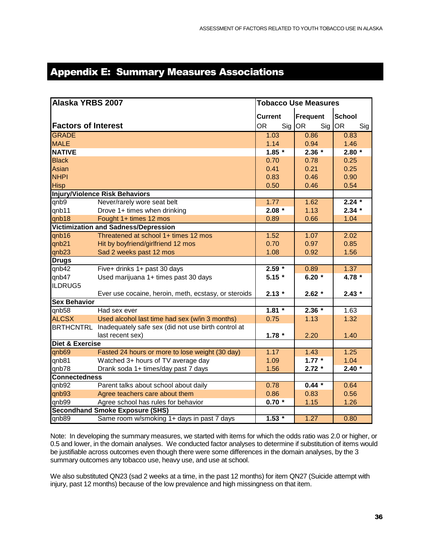### <span id="page-35-0"></span>Appendix E: Summary Measures Associations

| Alaska YRBS 2007           |                                                               | <b>Tobacco Use Measures</b> |                  |                   |  |
|----------------------------|---------------------------------------------------------------|-----------------------------|------------------|-------------------|--|
|                            |                                                               | <b>Current</b>              | <b>Frequent</b>  | <b>School</b>     |  |
| <b>Factors of Interest</b> |                                                               | <b>OR</b><br>Sig            | <b>OR</b><br>Sig | <b>OR</b><br>Sig  |  |
| <b>GRADE</b>               |                                                               | 1.03                        | 0.86             | 0.83              |  |
| <b>MALE</b>                |                                                               | 1.14                        | 0.94             | 1.46              |  |
| <b>NATIVE</b>              |                                                               | $1.85 *$                    | $2.36 *$         | $2.80*$           |  |
| <b>Black</b>               |                                                               | 0.70                        | 0.78             | 0.25              |  |
| Asian                      |                                                               | 0.41                        | 0.21             | 0.25              |  |
| <b>NHPI</b>                |                                                               | 0.83                        | 0.46             | 0.90              |  |
| <b>Hisp</b>                |                                                               | 0.50                        | 0.46             | 0.54              |  |
|                            | <b>Injury/Violence Risk Behaviors</b>                         |                             |                  |                   |  |
| qnb9                       | Never/rarely wore seat belt                                   | 1.77                        | 1.62             | $2.24*$           |  |
| qnb11                      | Drove 1+ times when drinking                                  | $2.08 *$                    | 1.13             | $2.34*$           |  |
| qnb18                      | Fought 1+ times 12 mos                                        | 0.89                        | 0.66             | 1.04              |  |
|                            | Victimization and Sadness/Depression                          |                             |                  |                   |  |
| qnb16                      | Threatened at school 1+ times 12 mos                          | 1.52                        | 1.07             | 2.02              |  |
| qnb21                      | Hit by boyfriend/girlfriend 12 mos                            | 0.70                        | 0.97             | 0.85              |  |
| qnb23                      | Sad 2 weeks past 12 mos                                       | 1.08                        | 0.92             | 1.56              |  |
| <b>Drugs</b>               |                                                               |                             |                  |                   |  |
| qnb42                      | Five+ drinks 1+ past 30 days                                  | $2.59*$                     | 0.89             | 1.37              |  |
| qnb47                      | Used marijuana 1+ times past 30 days                          | $5.15*$                     | $6.20*$          | $4.78 *$          |  |
| ILDRUG5                    |                                                               |                             |                  |                   |  |
|                            | Ever use cocaine, heroin, meth, ecstasy, or steroids          | $2.13*$                     | $2.62*$          | $2.43*$           |  |
| <b>Sex Behavior</b>        |                                                               |                             |                  |                   |  |
| qnb58                      | Had sex ever                                                  | $1.81 *$                    | $2.36*$          | 1.63              |  |
| <b>ALCSX</b>               | Used alcohol last time had sex (w/in 3 months)                | 0.75                        | 1.13             | 1.32              |  |
|                            | BRTHCNTRL Inadequately safe sex (did not use birth control at |                             |                  |                   |  |
|                            | last recent sex)                                              | $1.78 *$                    | 2.20             | 1.40              |  |
| <b>Diet &amp; Exercise</b> |                                                               |                             |                  |                   |  |
| qnb69                      | Fasted 24 hours or more to lose weight (30 day)               | 1.17                        | 1.43             | $\overline{1.25}$ |  |
| qnb81                      | Watched 3+ hours of TV average day                            | 1.09                        | $1.77*$          | 1.04              |  |
| qnb78                      | Drank soda 1+ times/day past 7 days                           | 1.56                        | $2.72*$          | $2.40*$           |  |
| <b>Connectedness</b>       |                                                               |                             |                  |                   |  |
| qnb92                      | Parent talks about school about daily                         | 0.78                        | $0.44 *$         | 0.64              |  |
| qnb93                      | Agree teachers care about them                                | 0.86                        | 0.83             | 0.56              |  |
| qnb99                      | Agree school has rules for behavior                           | $0.70*$                     | 1.15             | 1.26              |  |
|                            | <b>Secondhand Smoke Exposure (SHS)</b>                        |                             |                  |                   |  |
| qnb89                      | Same room w/smoking 1+ days in past 7 days                    | $1.53 *$                    | 1.27             | 0.80              |  |

Note: In developing the summary measures, we started with items for which the odds ratio was 2.0 or higher, or 0.5 and lower, in the domain analyses. We conducted factor analyses to determine if substitution of items would be justifiable across outcomes even though there were some differences in the domain analyses, by the 3 summary outcomes any tobacco use, heavy use, and use at school.

We also substituted QN23 (sad 2 weeks at a time, in the past 12 months) for item QN27 (Suicide attempt with injury, past 12 months) because of the low prevalence and high missingness on that item.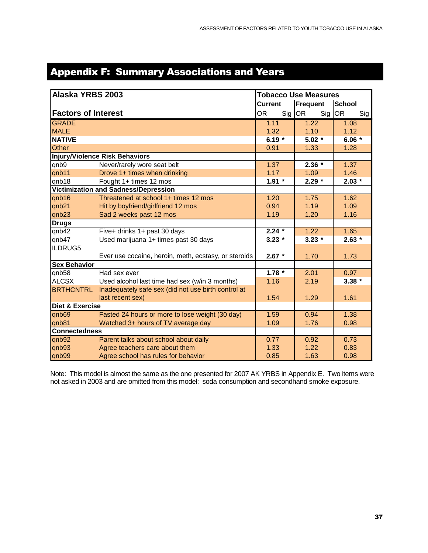### <span id="page-36-0"></span>Appendix F: Summary Associations and Years

| Alaska YRBS 2003                     |                                                      | <b>Tobacco Use Measures</b> |                  |                  |  |  |
|--------------------------------------|------------------------------------------------------|-----------------------------|------------------|------------------|--|--|
|                                      |                                                      | <b>Current</b>              | <b>Frequent</b>  | <b>School</b>    |  |  |
| <b>Factors of Interest</b>           |                                                      | <b>OR</b><br>Sig            | <b>OR</b><br>Sig | <b>OR</b><br>Sig |  |  |
| <b>GRADE</b>                         |                                                      | 1.11                        | 1.22             | 1.08             |  |  |
| <b>MALE</b>                          |                                                      | 1.32                        | 1.10             | 1.12             |  |  |
| <b>NATIVE</b>                        |                                                      | 6.19 $*$                    | $5.02*$          | 6.06 $*$         |  |  |
| <b>Other</b>                         |                                                      | 0.91                        | 1.33             | 1.28             |  |  |
| Injury/Violence Risk Behaviors       |                                                      |                             |                  |                  |  |  |
| qnb9                                 | Never/rarely wore seat belt                          | 1.37                        | $2.36*$          | 1.37             |  |  |
| qnb11                                | Drove 1+ times when drinking                         | 1.17                        | 1.09             | 1.46             |  |  |
| qnb18                                | Fought 1+ times 12 mos                               | $1.91 *$                    | $2.29*$          | $2.03*$          |  |  |
| Victimization and Sadness/Depression |                                                      |                             |                  |                  |  |  |
| qnb16                                | Threatened at school 1+ times 12 mos                 | 1.20                        | 1.75             | 1.62             |  |  |
| qnb21                                | Hit by boyfriend/girlfriend 12 mos                   | 0.94                        | 1.19             | 1.09             |  |  |
| qnb23                                | Sad 2 weeks past 12 mos                              | 1.19                        | 1.20             | 1.16             |  |  |
| <b>Drugs</b>                         |                                                      |                             |                  |                  |  |  |
| qnb42                                | Five+ drinks 1+ past 30 days                         | $2.24 *$                    | 1.22             | 1.65             |  |  |
| qnb47                                | Used marijuana 1+ times past 30 days                 | $3.23*$                     | $3.23*$          | $2.63*$          |  |  |
| ILDRUG5                              |                                                      |                             |                  |                  |  |  |
|                                      | Ever use cocaine, heroin, meth, ecstasy, or steroids | $2.67 *$                    | 1.70             | 1.73             |  |  |
| <b>Sex Behavior</b>                  |                                                      |                             |                  |                  |  |  |
| qnb58                                | Had sex ever                                         | $1.78 *$                    | 2.01             | 0.97             |  |  |
| <b>ALCSX</b>                         | Used alcohol last time had sex (w/in 3 months)       | 1.16                        | 2.19             | $3.38 *$         |  |  |
| <b>BRTHCNTRL</b>                     | Inadequately safe sex (did not use birth control at  |                             |                  |                  |  |  |
|                                      | last recent sex)                                     | 1.54                        | 1.29             | 1.61             |  |  |
| <b>Diet &amp; Exercise</b>           |                                                      |                             |                  |                  |  |  |
| qnb69                                | Fasted 24 hours or more to lose weight (30 day)      | 1.59                        | 0.94             | 1.38             |  |  |
| qnb81                                | Watched 3+ hours of TV average day                   | 1.09                        | 1.76             | 0.98             |  |  |
| <b>Connectedness</b>                 |                                                      |                             |                  |                  |  |  |
| qnb92                                | Parent talks about school about daily                | 0.77                        | 0.92             | 0.73             |  |  |
| qnb93                                | Agree teachers care about them                       | 1.33                        | 1.22             | 0.83             |  |  |
| qnb99                                | Agree school has rules for behavior                  | 0.85                        | 1.63             | 0.98             |  |  |

Note: This model is almost the same as the one presented for 2007 AK YRBS in Appendix E. Two items were not asked in 2003 and are omitted from this model: soda consumption and secondhand smoke exposure.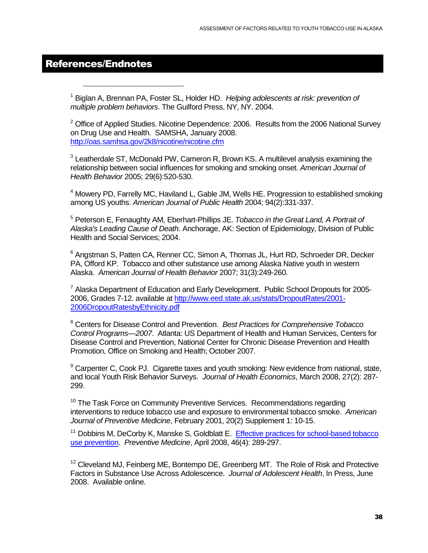#### <span id="page-37-0"></span>References/Endnotes

l

<sup>1</sup> Biglan A, Brennan PA, Foster SL, Holder HD. *Helping adolescents at risk: prevention of multiple problem behaviors*. The Guilford Press, NY, NY. 2004.

 $2$  Office of Applied Studies. Nicotine Dependence: 2006. Results from the 2006 National Survey on Drug Use and Health. SAMSHA, January 2008. <http://oas.samhsa.gov/2k8/nicotine/nicotine.cfm>

<sup>3</sup> Leatherdale ST, McDonald PW, Cameron R, Brown KS. A multilevel analysis examining the relationship between social influences for smoking and smoking onset. *American Journal of Health Behavior* 2005; 29(6):520-530.

<sup>4</sup> Mowery PD, Farrelly MC, Haviland L, Gable JM, Wells HE. Progression to established smoking among US youths. *American Journal of Public Health* 2004; 94(2):331-337.

5 Peterson E, Fenaughty AM, Eberhart-Phillips JE. *Tobacco in the Great Land, A Portrait of Alaska's Leading Cause of Death*. Anchorage, AK: Section of Epidemiology, Division of Public Health and Social Services; 2004.

<sup>6</sup> Angstman S, Patten CA, Renner CC, Simon A, Thomas JL, Hurt RD, Schroeder DR, Decker PA, Offord KP. Tobacco and other substance use among Alaska Native youth in western Alaska. *American Journal of Health Behavior* 2007; 31(3):249-260.

<sup>7</sup> Alaska Department of Education and Early Development. Public School Dropouts for 20052006, Grades 7-12. available a[t http://www.eed.state.ak.us/stats/DropoutRates/2001-](http://www.eed.state.ak.us/stats/DropoutRates/2001-2006DropoutRatesbyEthnicity.pdf) [2006DropoutRatesbyEthnicity.pdf](http://www.eed.state.ak.us/stats/DropoutRates/2001-2006DropoutRatesbyEthnicity.pdf) 

8 Centers for Disease Control and Prevention. *Best Practices for Comprehensive Tobacco Control Programs—2007*. Atlanta: US Department of Health and Human Services, Centers for Disease Control and Prevention, National Center for Chronic Disease Prevention and Health Promotion, Office on Smoking and Health; October 2007.

<sup>9</sup> Carpenter C, Cook PJ. Cigarette taxes and youth smoking: New evidence from national, state, and local Youth Risk Behavior Surveys. *Journal of Health Economics*, March 2008, 27(2): 287- 299.

 $10$  The Task Force on Community Preventive Services. Recommendations regarding interventions to reduce tobacco use and exposure to environmental tobacco smoke. *American Journal of Preventive Medicine*, February 2001, 20(2) Supplement 1: 10-15.

<sup>11</sup> Dobbins M, DeCorby K, Manske S, Goldblatt E. Effective practices for school-based tobacco [use prevention.](http://www.sciencedirect.com/science?_ob=ArticleURL&_udi=B6WPG-4PXM67H-2&_user=1181656&_coverDate=04%2F30%2F2008&_alid=756679274&_rdoc=80&_fmt=high&_orig=mlkt&_cdi=6990&_sort=v&_st=17&_docanchor=&view=c&_ct=654&_acct=C000051901&_version=1&_urlVersion=0&_userid=1181656&md5=ca8c0311d3cd31adb5cee44723620809) *Preventive Medicine*, April 2008, 46(4): 289-297.

 $12$  Cleveland MJ, Feinberg ME, Bontempo DE, Greenberg MT. The Role of Risk and Protective Factors in Substance Use Across Adolescence. *Journal of Adolescent Health*, In Press, June 2008. Available online.